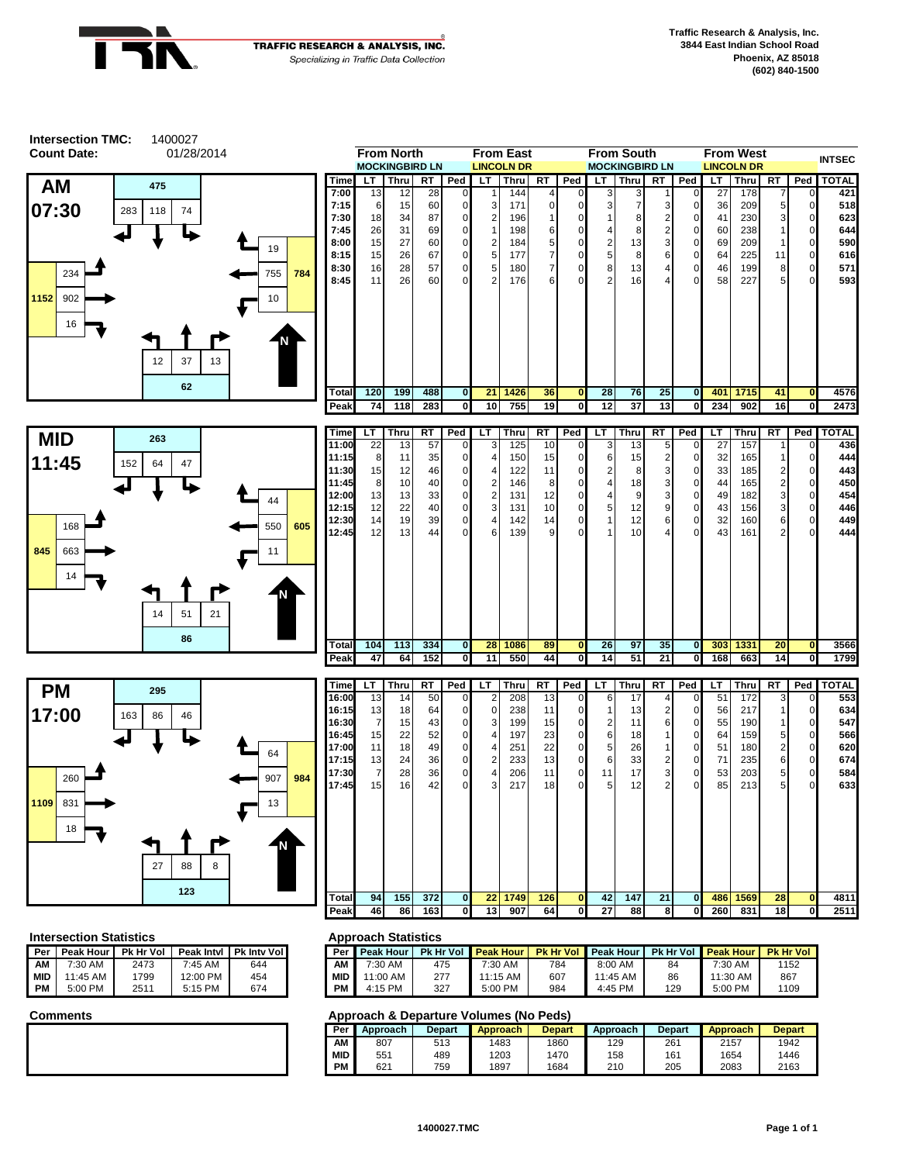



### **Intersection Statistics <b>Approach Statistics Approach Statistics**

| Per | Peak Hour  | Pk Hr Vol |           | Peak Intyl   Pk Inty Vol | Per        |
|-----|------------|-----------|-----------|--------------------------|------------|
| ΑМ  | $7:30$ AM  | 2473      | $7:45$ AM | 644                      | ΑМ         |
| MID | $11:45$ AM | 1799      | 12:00 PM  | 454                      | <b>MID</b> |
| РM  | 5:00 PM    | 2511      | $5:15$ PM | 674                      | PМ         |

| 'eak Intvl | <b>Pk Inty Voll</b> | Per        | <b>Peak Hour</b> | <b>Pk Hr Vol</b> | <b>Peak Hour</b> |     | <b>Pk Hr Vol Peak Hour</b> | <b>Pk Hr Vol</b> | <b>Peak Hour</b> | <b>Pk Hr Vol</b> |
|------------|---------------------|------------|------------------|------------------|------------------|-----|----------------------------|------------------|------------------|------------------|
| 7:45 AM    | 644                 | ΑМ         | 7:30 AM          | 475              | 7:30 AM          | 784 | 8:00 AM                    | 84               | 7:30 AM          | 1152             |
| 2:00 PM    | 454                 | <b>MID</b> | 11:00 AM         | 277              | 1:15 AM          | 607 | 11:45 AM                   | 86               | 11:30 AM         | 867              |
| 5:15 PM    | 674                 | PМ         | 4:15 PM          | 327              | 5:00 PM          | 984 | 4:45 PM                    | 129              | 5:00 PM          | 1109             |

| Per        | Approach | <b>Depart</b> | <b>Approach</b> | <b>Depart</b> | Approach | <b>Depart</b> | Approach | <b>Depart</b> |
|------------|----------|---------------|-----------------|---------------|----------|---------------|----------|---------------|
| ΑМ         | 807      | 513           | 1483            | 1860          | 129      | 261           | 2157     | 1942          |
| <b>MID</b> | 551      | 489           | 1203            | 1470          | 158      | 161           | 1654     | 1446          |
| PM         | 621      | 759           | 1897            | 1684          | 210      | 205           | 2083     | 2163          |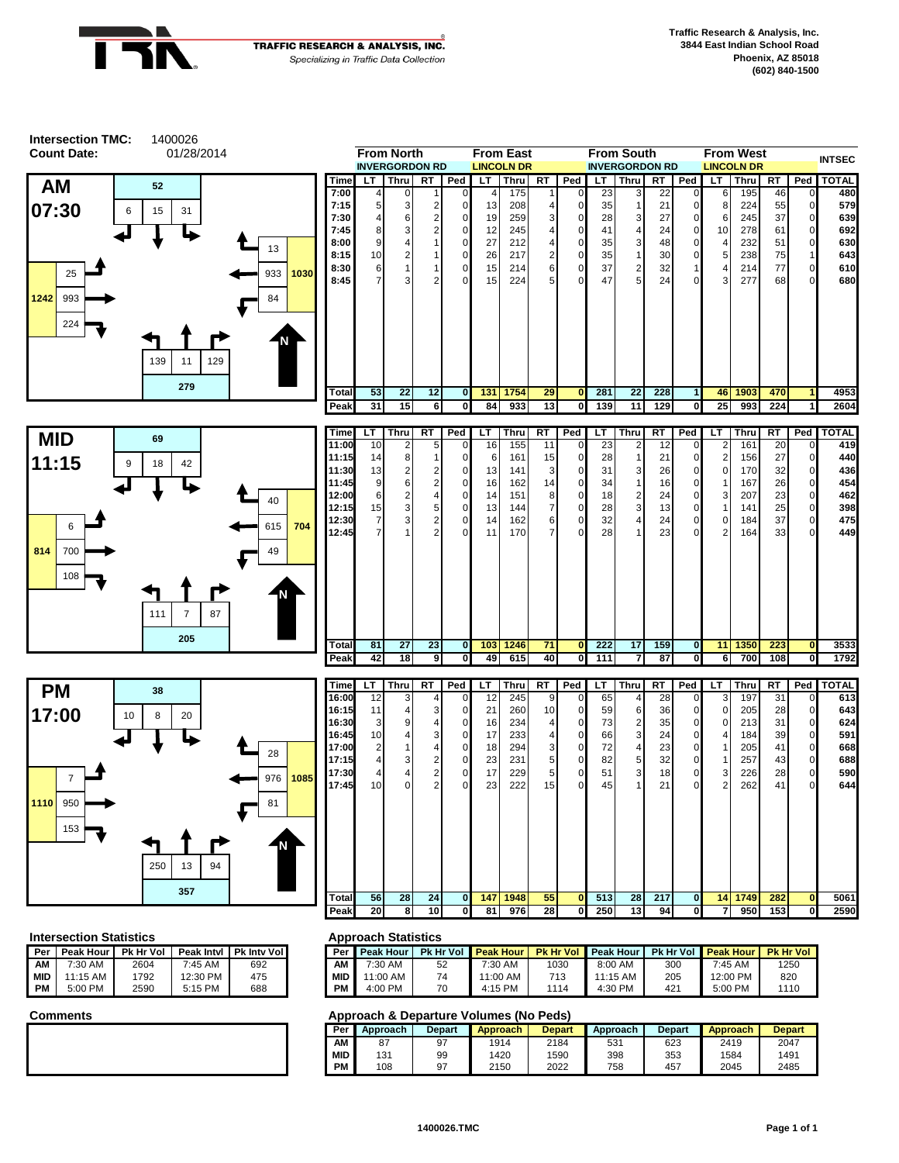



### **Intersection Statistics <b>Approach Statistics Approach Statistics**

|     |                     |      |           |                          | . .        |
|-----|---------------------|------|-----------|--------------------------|------------|
| Per | Peak Hour Pk Hr Vol |      |           | Peak Intyl   Pk Inty Vol | Per        |
| ΑМ  | 7:30 AM             | 2604 | $7:45$ AM | 692                      | ΑМ         |
| MID | $11:15$ AM          | 1792 | 12:30 PM  | 475                      | <b>MID</b> |
| PМ  | $5:00$ PM           | 2590 | 5:15 PM   | 688                      | PМ         |

| 'eak Intvl | <b>Pk Inty Voll</b> | Per I      | <b>Peak Hour</b> | <b>Pk Hr Vol</b> | <b>Peak Hour</b> |      | <b>Pk Hr Vol Peak Hour</b> |                 | Pk Hr Vol Peak Hour | <b>Pk Hr Vol</b> |
|------------|---------------------|------------|------------------|------------------|------------------|------|----------------------------|-----------------|---------------------|------------------|
| 7:45 AM    | 692                 | ΑМ         | 7:30 AM          | 52               | 7:30 AM          | 1030 | 8:00 AM                    | 300             | $7:45$ AM           | 1250             |
| 2:30 PM    | 475                 | <b>MID</b> | 1:00 AM          | 74               | 11:00 AM         | 713  | 11:15 AM                   | 205             | 12:00 PM            | 820              |
| 5:15 PM    | 688                 | <b>PM</b>  | 4:00 PM          | 70               | 4:15 PM          | 1114 | 4:30 PM                    | 42 <sup>1</sup> | 5:00 PM             | 1110             |

| Per        | Approach | <b>Depart</b> | <b>Approach</b> | <b>Depart</b> | Approach | <b>Depart</b> | <b>Approach</b> | <b>Depart</b> |
|------------|----------|---------------|-----------------|---------------|----------|---------------|-----------------|---------------|
| AM         |          | 97            | 1914            | 2184          | 531      | 623           | 2419            | 2047          |
| <b>MID</b> | 131      | 99            | 1420            | 1590          | 398      | 353           | 1584            | 1491          |
| <b>PM</b>  | 108      | 97            | 2150            | 2022          | 758      | 457           | 2045            | 2485          |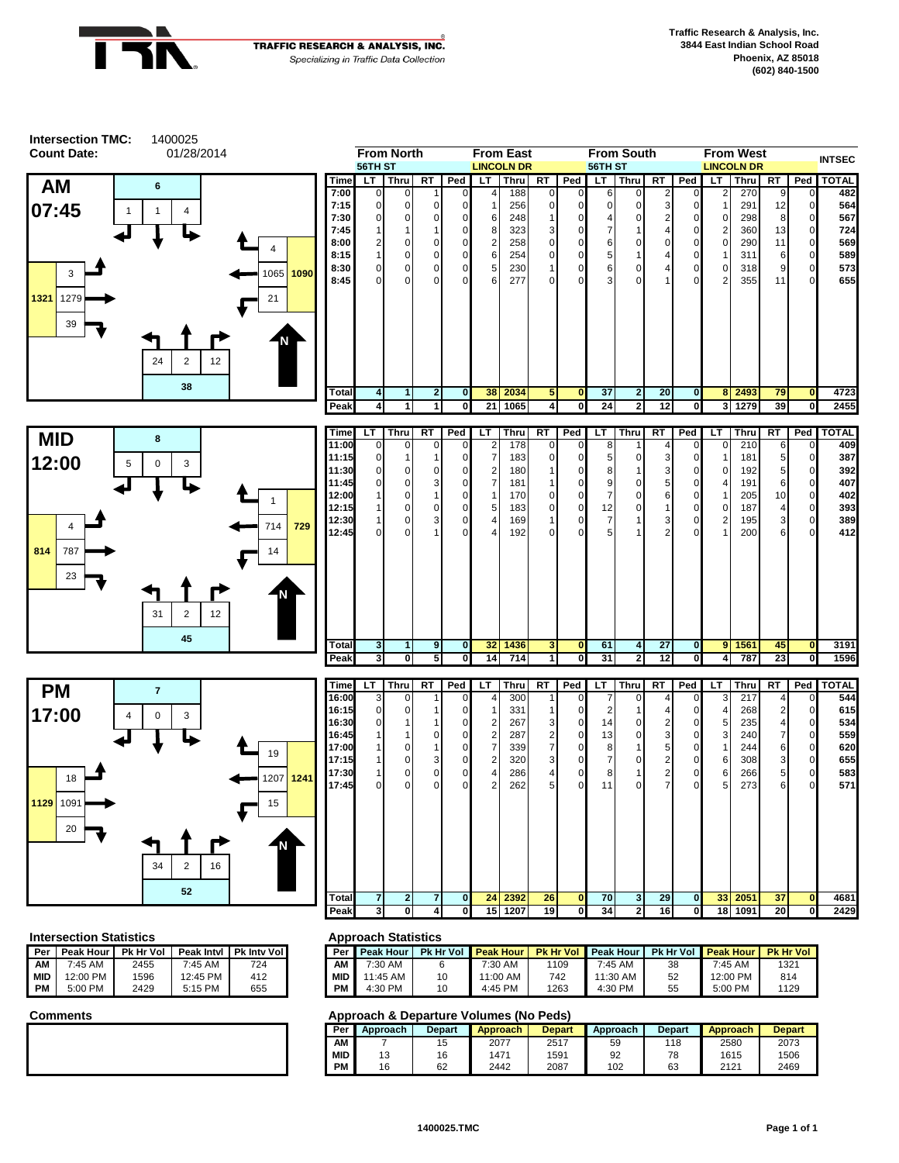



|  | <b>INCRECTION STATISTICS</b> |  |                                                | нμ    |
|--|------------------------------|--|------------------------------------------------|-------|
|  |                              |  | Per Peak Hour Pk Hr Vol Peak Intyl Pk Inty Vol | l Per |
|  |                              |  |                                                |       |

| AМ         | 7:45 AM  | 2455 | 7:45 AM  | 724 | AΜ         |
|------------|----------|------|----------|-----|------------|
| <b>MID</b> | 12:00 PM | 1596 | 12:45 PM | 412 | <b>MID</b> |
| PM         | 5:00 PM  | 2429 | 5:15 PM  | 655 | РM         |
|            |          |      |          |     |            |



| 'eak Intvl | <b>Pk Inty Voll</b> | Per I      | <b>Peak Hour</b> | <b>Pk Hr Vol</b> | <b>Peak Hour</b> |      | <b>Pk Hr Vol Peak Hour</b> |    | <b>Pk Hr Vol Peak Hour</b> | <b>Pk Hr Vol</b> |
|------------|---------------------|------------|------------------|------------------|------------------|------|----------------------------|----|----------------------------|------------------|
| 7:45 AM    | 724                 | ΑМ         | 7:30 AM          |                  | 7:30 AM          | 1109 | 7:45 AM                    | 38 | 7:45 AM                    | 1321             |
| 2:45 PM    | 412                 | <b>MID</b> | ' 1:45 AM        | 10               | 11:00 AM         | 742  | 11:30 AM                   | 52 | 12:00 PM                   | 814              |
| 5:15 PM    | 655                 | <b>PM</b>  | 4:30 PM          | 10               | 4:45 PM          | 1263 | 4:30 PM                    | 55 | 5:00 PM                    | 1129             |

|            |          |               | 1991 YAVII WA YA MILIYA TURIHIYA 1117 FANA 1 |               |          |               |                 |               |
|------------|----------|---------------|----------------------------------------------|---------------|----------|---------------|-----------------|---------------|
| Per I      | Approach | <b>Depart</b> | <b>Approach</b>                              | <b>Depart</b> | Approach | <b>Depart</b> | <b>Approach</b> | <b>Depart</b> |
| AM         |          | 15            | 2077                                         | 2517          | 59       | 118           | 2580            | 2073          |
| <b>MID</b> | 13       | 16            | 1471                                         | 1591          | 92       | 78            | 1615            | 1506          |
| <b>PM</b>  | 16       | 62            | 2442                                         | 2087          | 102      | 63            | 2121            | 2469          |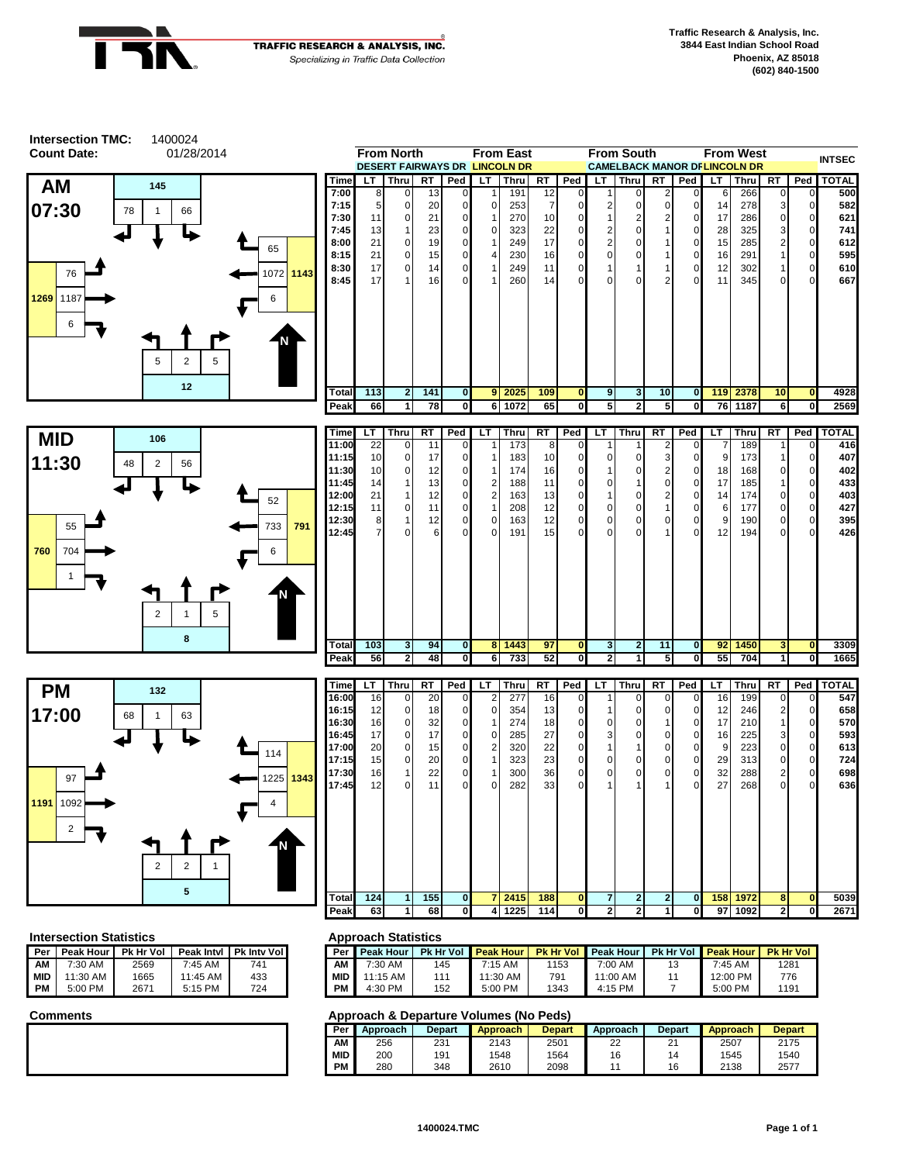



| Per   | Peak Hour I | Pk Hr Vol |            | Peak Intyl   Pk Inty Vol |  |
|-------|-------------|-----------|------------|--------------------------|--|
| ΑМ    | 7:30 AM     | 2569      | $7:45$ AM  | 741                      |  |
| l MID | $11:30$ AM  | 1665      | $11:45$ AM | 433                      |  |
| PM    | $5:00$ PM   | 2671      | 5:15 PM    | 724                      |  |

| 'eak Intvl | <b>Pk Inty Voll</b> | Per I      | <b>Peak Hour</b> |     | <b>Pk Hr Vol Peak Hour</b> |      | <b>Pk Hr Vol Peak Hour</b> | Pk Hr Vol Peak Hour | <b>Pk Hr Vol</b> |
|------------|---------------------|------------|------------------|-----|----------------------------|------|----------------------------|---------------------|------------------|
| 7:45 AM    | 741                 | АM         | 7:30 AM          | 145 | 7:15 AM                    | 1153 | 7:00 AM                    | $7:45$ AM           | 1281             |
| $1:45$ AM  | 433                 | <b>MID</b> | 11:15 AM         | 111 | 11:30 AM                   | 791  | 11:00 AM                   | 12:00 PM            | 776              |
| 5:15 PM    | 724                 | <b>PM</b>  | 4:30 PM          | 152 | 5:00 PM                    | 1343 | 4:15 PM                    | 5:00 PM             | 1191             |

| Per        | Approach | <b>Depart</b> | <b>Approach</b> | <b>Depart</b> | Approach | <b>Depart</b> | <b>Approach</b> | <b>Depart</b> |
|------------|----------|---------------|-----------------|---------------|----------|---------------|-----------------|---------------|
| ΑМ         | 256      | 231           | 2143            | 2501          |          | 21            | 2507            | 2175          |
| <b>MID</b> | 200      | 191           | 1548            | 1564          | 16       | 14            | 1545            | 1540          |
| PM         | 280      | 348           | 2610            | 2098          |          | 16            | 2138            | 2577          |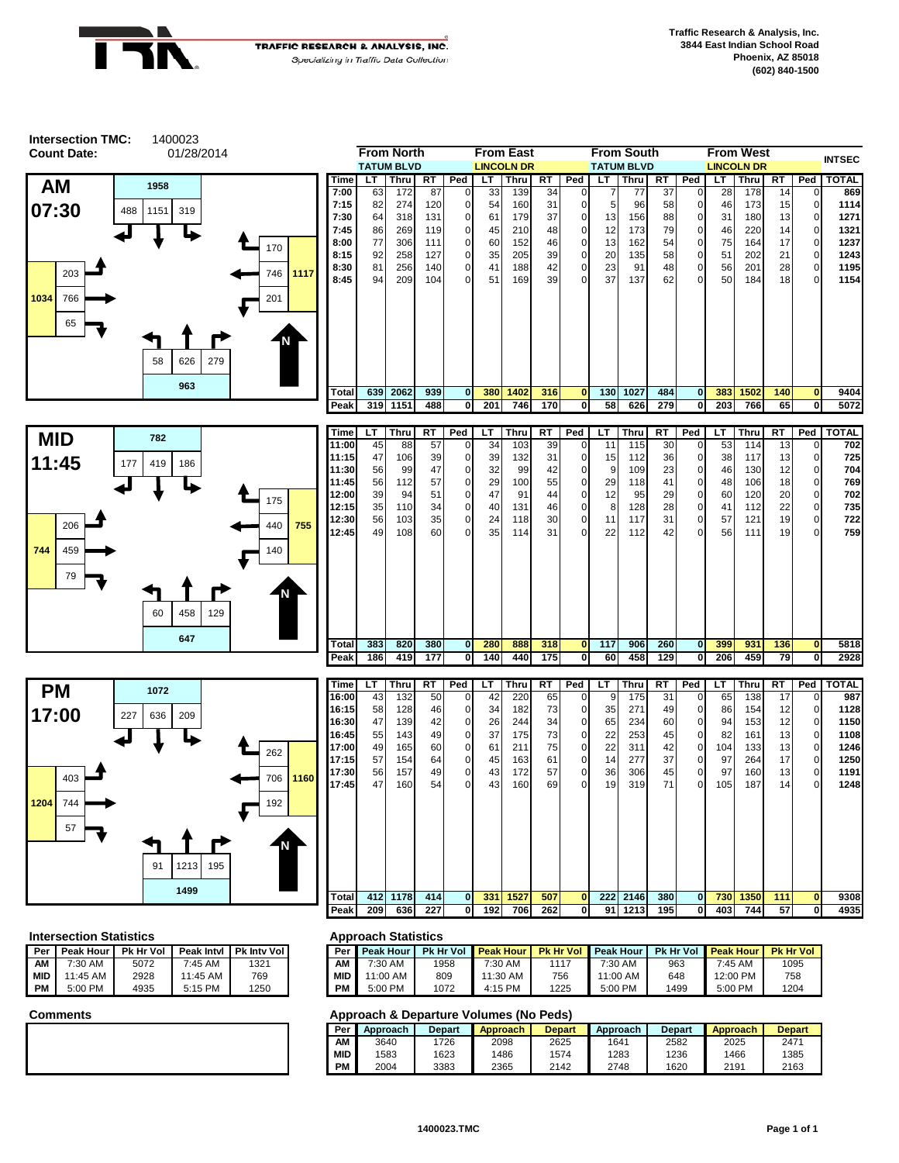



|             |     | From North        |     |             |                 | From East         |                 |             |     | From South        |     |                |     | From West         |     |             | <b>INTSEC</b> |
|-------------|-----|-------------------|-----|-------------|-----------------|-------------------|-----------------|-------------|-----|-------------------|-----|----------------|-----|-------------------|-----|-------------|---------------|
|             |     | <b>TATUM BLVD</b> |     |             |                 | <b>LINCOLN DR</b> |                 |             |     | <b>TATUM BLVD</b> |     |                |     | <b>LINCOLN DR</b> |     |             |               |
| <b>Time</b> | LT. | Thru              | RT  | Ped         | LT.             | <b>Thru</b>       | RT              | Ped         | LT  | Thru              | RT  | Ped            | LT  | Thru              | RT  | Ped         | <b>TOTAL</b>  |
| 7:00        | 63  | 172               | 87  | 0           | 33 <sub>1</sub> | 139               | 34              | $\Omega$    |     | 77                | 37  | $\Omega$       | 28  | 178               | 14  | $\mathbf 0$ | 869           |
| 7:15        | 82  | 274               | 120 | 0           | 54              | 160               | 31              | $\mathbf 0$ | 5   | 96                | 58  | $\mathbf{0}$   | 46  | 173               | 15  | 0           | 1114          |
| 7:30        | 64  | 318               | 131 | $\Omega$    | 61              | 179               | 37              | $\Omega$    | 13  | 156               | 88  | $\overline{0}$ | 31  | 180               | 13  | 0           | 1271          |
| 7:45        | 86  | 269               | 119 | $\Omega$    | 45              | 210               | 48              | $\Omega$    | 12  | 173               | 79  | $\overline{0}$ | 46  | 220               | 14  | $\mathbf 0$ | 1321          |
| 8:00        | 77  | 306               | 111 | $\mathbf 0$ | 60              | 152               | 46              | $\mathbf 0$ | 13  | 162               | 54  | $\overline{0}$ | 75  | 164               | 17  | $\mathbf 0$ | 1237          |
| 8:15        | 92  | 258               | 127 | $\Omega$    | 35              | 205               | 39              | $\Omega$    | 20  | 135               | 58  | $\overline{0}$ | 51  | 202               | 21  | $\mathbf 0$ | 1243          |
| 8:30        | 81  | 256               | 140 | $\Omega$    | 41              | 188               | 42              | $\mathbf 0$ | 23  | 91                | 48  | $\overline{0}$ | 56  | 201               | 28  | $\mathbf 0$ | 1195          |
| 8:45        | 94  | 209               | 104 | $\Omega$    | 51              | 169               | 39 <sub>l</sub> | $\Omega$    | 37  | 137               | 62  | $\Omega$       | 50  | 184               | 18  | 0           | 1154          |
|             |     |                   |     |             |                 |                   |                 |             |     |                   |     |                |     |                   |     |             |               |
| Total       | 639 | 2062              | 939 | $\bf{0}$    | 380             | 1402              | 316             | $\bf{0}$    | 130 | 1027              | 484 | οI             | 383 | 1502              | 140 | $\bf{0}$    | 9404          |
| Peak        | 319 | 1151              | 488 | 01          | 201             | 746 I             | 170             | 0           | 58  | 626               | 279 | 01             | 203 | 766               | 65  | $\mathbf 0$ | 5072          |





| <b>Time</b> | LT   | Thru | RT  | Ped          | LT              | Thru | RT  | Ped          | LT  | Thru | RT  | Ped            | LT  | Thru | RT  | Ped          | <b>TOTAL</b> |
|-------------|------|------|-----|--------------|-----------------|------|-----|--------------|-----|------|-----|----------------|-----|------|-----|--------------|--------------|
| 11:00       | 45   | 88   | 57  | $\mathbf{0}$ | 34              | 103  | 39  | $\mathbf 0$  | 11  | 115  | 30  | $\overline{0}$ | 53  | 114  | 13  | 0            | 702          |
| 11:15       | 47   | 106  | 39  | $\mathbf{0}$ | 39 <sub>1</sub> | 132  | 31  | $\mathbf 0$  | 15  | 112  | 36  | $\overline{0}$ | 38  | 117  | 13  | $\Omega$     | 725          |
| 11:30       | 56   | 99   | 47  | $\mathbf{0}$ | 32              | 99   | 42  | $\mathbf 0$  | 9   | 109  | 23  | $\overline{0}$ | 46  | 130  | 12  | $\mathbf{0}$ | 704          |
| 11:45       | 56   | 112  | 57  | $\mathbf{0}$ | 29              | 100  | 55  | $\mathbf 0$  | 29  | 118  | 41  | $\overline{0}$ | 48  | 106  | 18  | 0            | 769          |
| 12:00       | 39   | 94   | 51  | $\mathbf{0}$ | 47              | 91   | 44  | $\mathbf 0$  | 12  | 95   | 29  | $\overline{0}$ | 60  | 120  | 20  | 0            | 702          |
| 12:15       | 35   | 110  | 34  | $\mathbf{0}$ | 40              | 131  | 46  | $\mathbf 0$  | 8   | 128  | 28  | $\overline{0}$ | 41  | 112  | 22  | 0            | 735          |
| 12:30       | 56   | 103  | 35  | $\mathbf{0}$ | 24              | 118  | 30  | $\mathbf 0$  | 11  | 117  | 31  | $\overline{0}$ | 57  | 121  | 19  | $\Omega$     | 722          |
| 12:45       | 49   | 108  | 60  | $\Omega$     | 35 <sub>1</sub> | 114  | 31  | $\Omega$     | 22  | 112  | 42  | $\overline{O}$ | 56  | 111  | 19  | 0            | 759          |
|             |      |      |     |              |                 |      |     |              |     |      |     |                |     |      |     |              |              |
| Total       | 383  | 820  | 380 | $\mathbf{0}$ | 280             | 888  | 318 | $\bf{0}$     | 117 | 906  | 260 | $\mathbf{0}$   | 399 | 931  | 136 | $\mathbf{0}$ | 5818         |
| Peak        | 1861 | 419  | 177 | $\mathbf{0}$ | 140             | 440  | 175 | $\mathbf{0}$ | 60  | 458  | 129 | $\mathbf 0$    | 206 | 459  | 79  | 0            | 2928         |

| Time        | LТ  | Thru | RT  | Ped          | LТ  | Thru | RT  | Ped         | LT              | Thru | RT  | Ped            | LТ  | Thru | RT  | Ped            | <b>TOTAL</b> |
|-------------|-----|------|-----|--------------|-----|------|-----|-------------|-----------------|------|-----|----------------|-----|------|-----|----------------|--------------|
| 16:00       | 43  | 132  | 50  | $\mathbf{0}$ | 42  | 220  | 65  | $\mathbf 0$ | 9               | 175  | 31  | $\overline{0}$ | 65  | 138  | 17  | $\overline{0}$ | <b>987</b>   |
| 16:15       | 58  | 128  | 46  | 0            | 34  | 182  | 73  | $\mathbf 0$ | 35 <sub>1</sub> | 271  | 49  | $\overline{0}$ | 86  | 154  | 12  | $\overline{0}$ | 1128         |
| 16:30       | 47  | 139  | 42  | $\mathbf 0$  | 26  | 244  | 34  | $\mathbf 0$ | 65              | 234  | 60  | $\overline{0}$ | 94  | 153  | 12  | $\overline{0}$ | 1150         |
| 16:45       | 55  | 143  | 49  | $\mathbf 0$  | 37  | 175  | 73  | 0           | 22              | 253  | 45  | $\overline{0}$ | 82  | 161  | 13  | $\overline{0}$ | 1108         |
| 17:00       | 49  | 165  | 60  | $\mathbf 0$  | 61  | 211  | 75  | 0           | 22              | 311  | 42  | $\overline{0}$ | 104 | 133  | 13  | $\overline{0}$ | 1246         |
| 17:15       | 57  | 154  | 64  | $\mathbf 0$  | 45  | 163  | 61  | 0           | 14              | 277  | 37  | $\overline{0}$ | 97  | 264  | 17  | $\overline{0}$ | 1250         |
| 17:30       | 56  | 157  | 49  | $\mathbf 0$  | 43  | 172  | 57  | $\mathbf 0$ | 36 <sup>1</sup> | 306  | 45  | $\overline{0}$ | 97  | 160  | 13  | $\overline{0}$ | 1191         |
| 17:45       | 47  | 160  | 54  | 0            | 43  | 160  | 69  | $\Omega$    | 19 <sub>l</sub> | 319  | 71  | $\Omega$       | 105 | 187  | 14  | $\overline{0}$ | 1248         |
|             |     |      |     |              |     |      |     |             |                 |      |     |                |     |      |     |                |              |
| Total       | 412 | 1178 | 414 | $\mathbf{0}$ | 331 | 1527 | 507 | $\bf{0}$    | 222             | 2146 | 380 | $\mathbf{0}$   | 730 | 1350 | 111 | $\mathbf{0}$   | 9308         |
| <b>Peak</b> | 209 | 636  | 227 | 0            | 192 | 706  | 262 | 0           | 91              | 1213 | 195 | 0              | 403 | 744  | 57  | 0              | 4935         |

### **Intersection Statistics Approach Statistics**

| l Per | Peak Hour | <b>Pk Hr Vol</b> | Peak Intyl | <b>Pk Inty Voll</b> | Per        |
|-------|-----------|------------------|------------|---------------------|------------|
| I AM  | 7:30 AM   | 5072             | $7:45$ AM  | 1321                | ΑМ         |
| i mid | 11:45 AM  | 2928             | 11:45 AM   | 769                 | <b>MID</b> |
| I PM  | 5:00 PM   | 4935             | 5:15 PM    | 1250                | PМ         |

| 'eak Intvl | <b>Pk Inty Voll</b> | Per        | <b>Peak Hour</b> | <b>Pk Hr Vol</b> | <b>Peak Hour</b> | <b>Pk Hr Vol</b> | <b>Peak Hour</b> | <b>Pk Hr Vol</b> | <b>Peak Hour</b> | <b>Pk Hr Vol</b> |
|------------|---------------------|------------|------------------|------------------|------------------|------------------|------------------|------------------|------------------|------------------|
| 7:45 AM    | 1321                | AM         | 7:30 AM          | 1958             | 7:30 AM          | 1117             | 7:30 AM          | 963              | 7:45 AM          | 1095             |
| 1:45 AM    | 769                 | <b>MID</b> | 11:00 AM         | 809              | $1:30$ AM        | 756              | 11:00 AM         | 648              | 12:00 PM         | 758              |
| 5:15 PM    | 1250                | PМ         | 5:00 PM          | 1072             | 4:15 PM          | 1225             | 5:00 PM          | 1499             | 5:00 PM          | 1204             |

| Per        | Approach | <b>Depart</b> | Approach | <b>Depart</b> | Approach | <b>Depart</b> | <b>Approach</b> | <b>Depart</b> |
|------------|----------|---------------|----------|---------------|----------|---------------|-----------------|---------------|
| AΜ         | 3640     | 1726          | 2098     | 2625          | 1641     | 2582          | 2025            | 2471          |
| <b>MID</b> | 1583     | 1623          | 486      | 1574          | 1283     | 1236          | 1466            | 1385          |
| PM         | 2004     | 3383          | 2365     | 2142          | 2748     | 1620          | 2191            | 2163          |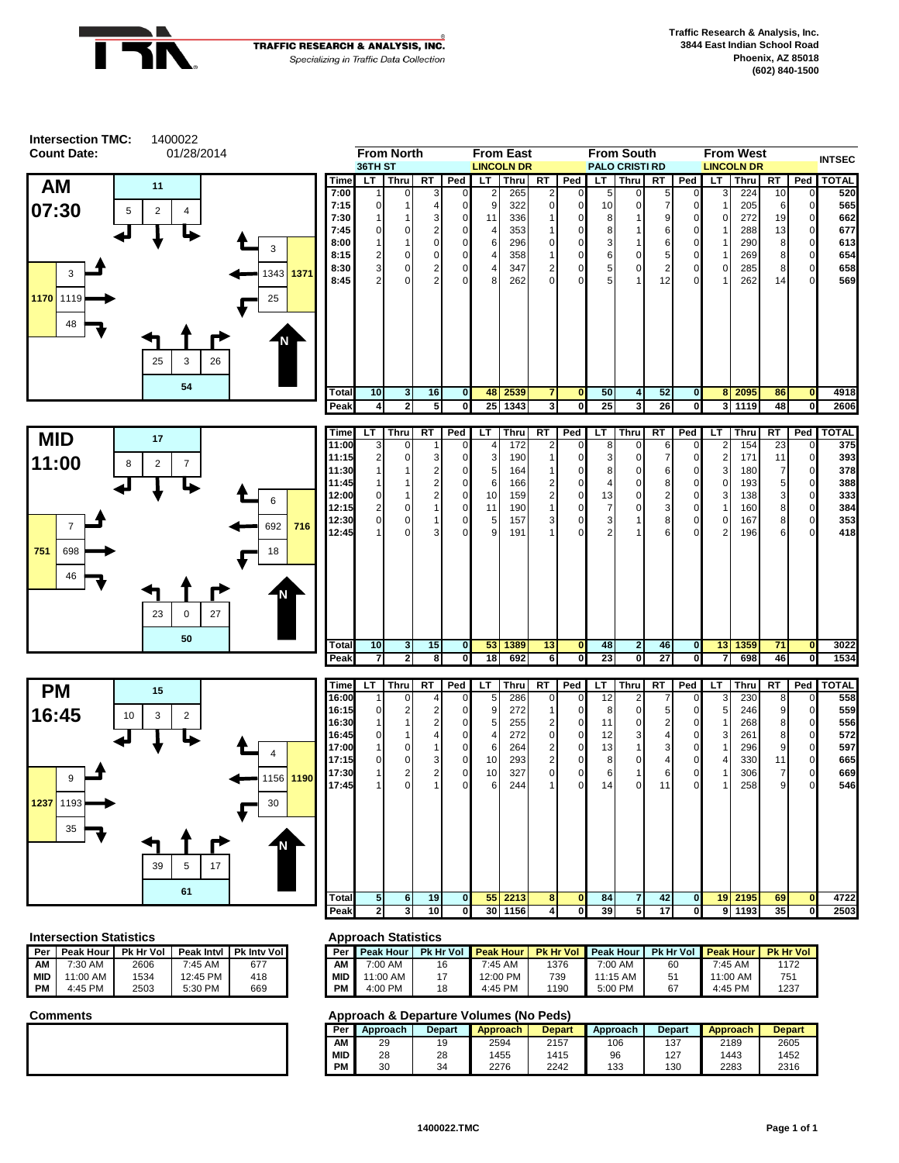



### **Intersection Statistics <b>Approach Statistics Approach Statistics**

|     |                       |      |                     |                     | . .        |
|-----|-----------------------|------|---------------------|---------------------|------------|
| Per | Peak Hour   Pk Hr Vol |      | <b>Peak Intyl</b>   | <b>Pk Inty Voll</b> | Per        |
| ΑМ  | $7:30$ AM             | 2606 | $7:45 \, \text{AM}$ | 677                 | ΑМ         |
| MID | 11:00 AM              | 1534 | 12:45 PM            | 418                 | <b>MID</b> |
| PМ  | 4:45 PM               | 2503 | 5:30 PM             | 669                 | PМ         |

| 'eak Intvl | <b>Pk Inty Voll</b> | Per I      | <b>Peak Hour</b> |    | <b>Pk Hr Vol Peak Hour</b> |      | <b>Pk Hr Vol Peak Hour I</b> |    | <b>Pk Hr Vol Peak Hour</b> | <b>Pk Hr Vol</b> |
|------------|---------------------|------------|------------------|----|----------------------------|------|------------------------------|----|----------------------------|------------------|
| 7:45 AM    | 677                 | AМ         | 7:00 AM          | 16 | 7:45 AM                    | 1376 | 7:00 AM                      | 60 | $7:45$ AM                  | 1172             |
| 2:45 PM    | 418                 | <b>MID</b> | 11:00 AM         |    | 12:00 PM                   | 739  | 11:15 AM                     | 51 | $1:00 \text{ AM}$          | 751              |
| 5:30 PM    | 669                 | <b>PM</b>  | 4:00 PM          | 18 | 4:45 PM                    | 1190 | 5:00 PM                      | 67 | 4:45 PM                    | 1237             |

| --         |          |               |          |               |          |               |                 |               |
|------------|----------|---------------|----------|---------------|----------|---------------|-----------------|---------------|
| Per        | Approach | <b>Depart</b> | Approach | <b>Depart</b> | Approach | <b>Depart</b> | <b>Approach</b> | <b>Depart</b> |
| AM         | 29       | 19            | 2594     | 2157          | 106      | 137           | 2189            | 2605          |
| <b>MID</b> | 28       | 28            | 1455     | 1415          | 96       | 127           | 1443            | 1452          |
| PM         | 30       | 34            | 2276     | 2242          | 133      | 130           | 2283            | 2316          |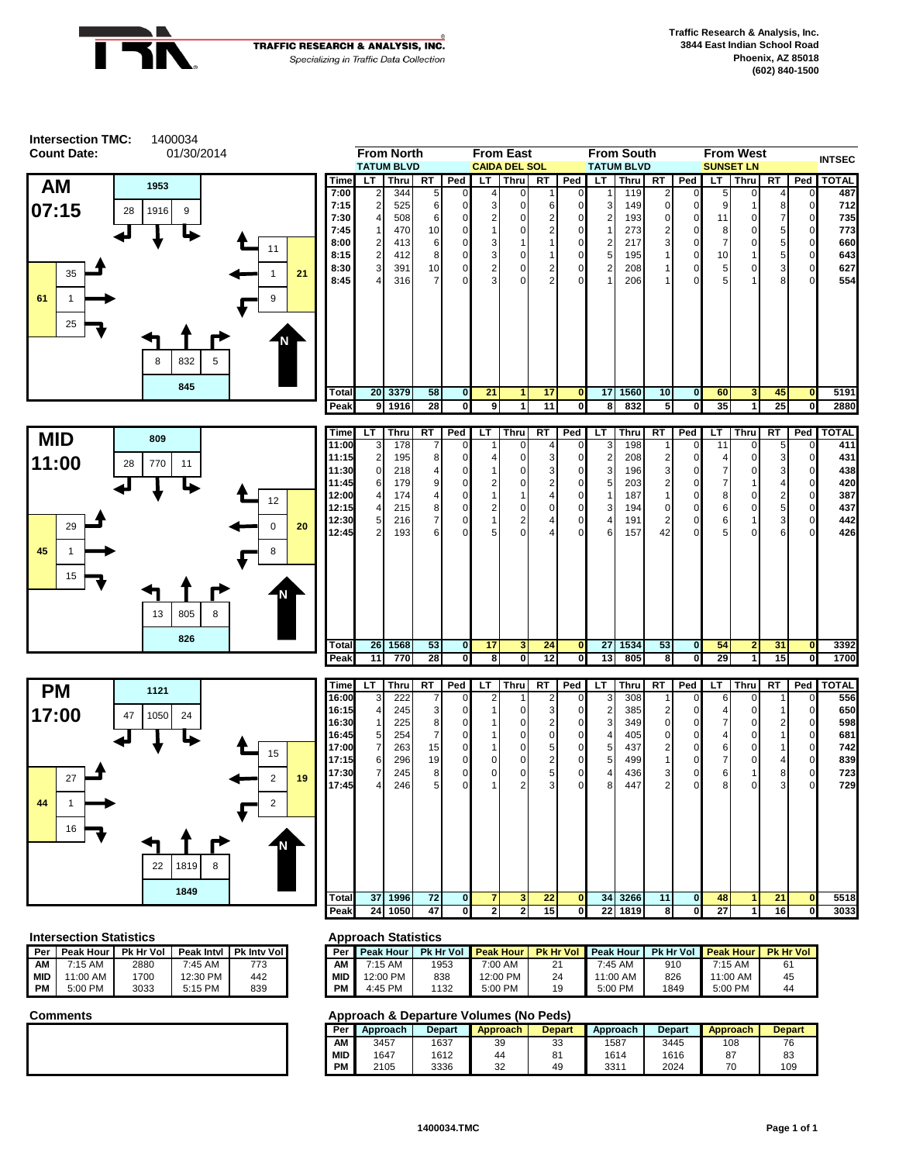

| <b>Intersection TMC:</b> | 1400034                 |                |                                         |              |                       |                                           |                                          |                         |                                      |                            |                                        |                    |                  |                                        |                                    |                                      |          |                               |                    |
|--------------------------|-------------------------|----------------|-----------------------------------------|--------------|-----------------------|-------------------------------------------|------------------------------------------|-------------------------|--------------------------------------|----------------------------|----------------------------------------|--------------------|------------------|----------------------------------------|------------------------------------|--------------------------------------|----------|-------------------------------|--------------------|
| <b>Count Date:</b>       | 01/30/2014              |                | <b>From North</b><br><b>TATUM BLVD</b>  |              |                       |                                           | <b>From East</b><br><b>CAIDA DEL SOL</b> |                         |                                      |                            | <b>From South</b><br><b>TATUM BLVD</b> |                    |                  |                                        |                                    | <b>From West</b><br><b>SUNSET LN</b> |          |                               | <b>INTSEC</b>      |
| <b>AM</b>                | 1953                    | Time           | LT.                                     | Thru RT      |                       | Ped                                       |                                          | LT   Thru               | RT                                   | Ped                        | LT.                                    |                    | Thru RT          | Ped                                    | LT.                                | <b>Thru</b>                          | RT       |                               | Ped   TOTAL        |
|                          |                         | 7:00<br>7:15   | $\boldsymbol{2}$                        | 344<br>525   | 6                     | $\Omega$                                  | 3                                        | 0<br>$\mathbf 0$        | 6                                    | C                          | 3                                      | 119<br>149         | 2<br>$\mathbf 0$ | $\Omega$<br>$\mathbf 0$                | 9                                  |                                      | 8        | $\mathbf 0$                   | 487<br>712         |
| 07:15<br>28              | 1916<br>9               | 7:30           | $\overline{4}$                          | 508          | 6                     |                                           | 2                                        | 0                       | $\boldsymbol{2}$                     | $\mathbf C$                | $\overline{2}$                         | 193                | $\mathbf 0$      | $\mathbf 0$                            | 11                                 | 0                                    | 7        | $\overline{0}$                | 735                |
|                          |                         | 7:45<br>8:00   | $\mathbf{1}$<br>$\overline{\mathbf{c}}$ | 470<br>413   | 10<br>6               | 0                                         | 1<br>3                                   | 0<br>1                  | $\boldsymbol{2}$<br>$\mathbf{1}$     | C<br>C                     | 1<br>2                                 | 273<br>217         | 2<br>3           | 0<br>$\mathbf 0$                       | 8<br>$\boldsymbol{7}$              | $\Omega$<br>$\mathbf 0$              | 5<br>5   | $\mathbf 0$<br>$\mathbf 0$    | 773<br>660         |
|                          | 11                      | 8:15           | $\sqrt{2}$                              | 412          | 8                     | 0                                         | 3                                        | $\mathbf 0$             | $\mathbf{1}$                         | $\mathsf{C}$               | 5                                      | 195                | $\mathbf{1}$     | $\mathbf 0$                            | 10                                 |                                      | 5        | $\overline{0}$                | 643                |
| 35                       | 21<br>1                 | 8:30<br>8:45   | 3<br>$\overline{4}$                     | 391<br>316   | 10<br>$\overline{7}$  | $\Omega$                                  | $\overline{\mathbf{c}}$<br>3             | 0<br>0                  | $\overline{2}$<br>$\overline{2}$     | $\mathsf{C}$               | 2                                      | 208<br>206         | 1<br>1           | $\mathbf 0$<br>$\Omega$                | $\,$ 5 $\,$<br>5                   | 0                                    | 3        | $\mathbf 0$<br>$\Omega$       | 627<br>554         |
| 61<br>$\mathbf{1}$       | 9                       |                |                                         |              |                       |                                           |                                          |                         |                                      |                            |                                        |                    |                  |                                        |                                    |                                      |          |                               |                    |
|                          |                         |                |                                         |              |                       |                                           |                                          |                         |                                      |                            |                                        |                    |                  |                                        |                                    |                                      |          |                               |                    |
| 25                       |                         |                |                                         |              |                       |                                           |                                          |                         |                                      |                            |                                        |                    |                  |                                        |                                    |                                      |          |                               |                    |
|                          | 832<br>5<br>8           |                |                                         |              |                       |                                           |                                          |                         |                                      |                            |                                        |                    |                  |                                        |                                    |                                      |          |                               |                    |
|                          |                         |                |                                         |              |                       |                                           |                                          |                         |                                      |                            |                                        |                    |                  |                                        |                                    |                                      |          |                               |                    |
|                          | 845                     | Total          |                                         | 20 3379      | 58                    | $\mathbf{0}$                              | 21                                       | 1                       | 17                                   | 0                          |                                        | 17 1560            | 10               | $\bf{0}$                               | 60                                 | 3                                    | 45       | $\mathbf{0}$                  | 5191               |
|                          |                         | Peak           |                                         | 9 1916       | 28                    | $\overline{\mathbf{0}}$                   | ٥                                        | 1                       | 11                                   | $\mathbf{0}$               | 8                                      | 832                | 5                | $\overline{\mathbf{0}}$                | 35                                 | $\overline{1}$                       | 25       | $\mathbf{0}$                  | 2880               |
| <b>MID</b>               | 809                     | Time           | LT.                                     | <b>Thru</b>  | RT                    | Ped                                       | LT                                       | <b>Thru</b>             | RT                                   | Ped                        | LT.                                    | Thru               | RT               | Ped                                    | LT.                                | <b>Thru</b>                          | RT       | Ped                           | <b>TOTAL</b>       |
| 11:00                    |                         | 11:00<br>11:15 | 3<br>$\overline{c}$                     | 178<br>195   | 8                     | O                                         |                                          | 0<br>$\mathbf 0$        | 3                                    |                            | 2                                      | 198<br>208         | 1<br>2           | 0<br>0                                 | 11<br>4                            | 0<br>$\Omega$                        | 5        | $\mathbf 0$<br>$\overline{0}$ | 411<br>431         |
| 28                       | 770<br>11               | 11:30          | $\pmb{0}$                               | 218          | 4                     |                                           |                                          | 0                       | 3                                    |                            | 3                                      | 196                | 3                | 0                                      | $\boldsymbol{7}$                   |                                      | 3        | 0                             | 438                |
|                          | 12                      | 11:45<br>12:00 | 6<br>$\overline{4}$                     | 179<br>174   | 9<br>4                | O<br>$\Omega$                             | 2                                        | 0<br>1                  | $\mathbf 2$<br>$\overline{4}$        | $\Omega$<br>$\sqrt{ }$     | 5                                      | 203<br>187         | 2<br>1           | 0<br>0                                 | $\boldsymbol{7}$<br>8              | 0                                    |          | $\mathbf 0$<br>$\overline{0}$ | 420<br>387         |
|                          |                         | 12:15<br>12:30 | 4<br>5                                  | 215<br>216   | 8<br>$\overline{7}$   | 0<br>O                                    | 2<br>$\mathbf{1}$                        | 0<br>$\overline{c}$     | $\mathbf 0$<br>$\overline{4}$        | 0<br>$\sqrt{ }$            | 3                                      | 194<br>191         | $\mathbf 0$<br>2 | $\mathbf 0$<br>$\mathbf 0$             | $\,6\,$<br>$6\phantom{1}$          | $\mathbf 0$                          | 5<br>3   | $\overline{0}$<br>$\mathbf 0$ | 437<br>442         |
| 29                       | $\mathsf 0$<br>20       | 12:45          | $\overline{2}$                          | 193          | 6                     |                                           | 5                                        | 0                       |                                      | C                          |                                        | 157                | 42               | $\mathbf 0$                            | 5                                  | $\Omega$                             | 6        | O                             | 426                |
| 45<br>1                  | 8                       |                |                                         |              |                       |                                           |                                          |                         |                                      |                            |                                        |                    |                  |                                        |                                    |                                      |          |                               |                    |
| 15                       |                         |                |                                         |              |                       |                                           |                                          |                         |                                      |                            |                                        |                    |                  |                                        |                                    |                                      |          |                               |                    |
|                          |                         |                |                                         |              |                       |                                           |                                          |                         |                                      |                            |                                        |                    |                  |                                        |                                    |                                      |          |                               |                    |
|                          | 805<br>8<br>13          |                |                                         |              |                       |                                           |                                          |                         |                                      |                            |                                        |                    |                  |                                        |                                    |                                      |          |                               |                    |
|                          |                         |                |                                         |              |                       |                                           |                                          |                         |                                      |                            |                                        |                    |                  |                                        |                                    |                                      |          |                               |                    |
|                          | 826                     | Total<br>Peak  | 26<br>11                                | 1568<br>770  | 53<br>$\overline{28}$ | $\overline{0}$<br>$\overline{\mathbf{0}}$ | 17<br>8                                  | 3<br>0                  | 24<br>12                             | $\mathbf 0$<br>$\mathbf 0$ | 13                                     | 27 1534<br>805     | 53<br>8          | $\bullet$<br>0                         | 54<br>29                           | $\overline{2}$<br>$\mathbf{1}$       | 31<br>15 | $\bullet$<br>$\mathbf{0}$     | 3392<br>1700       |
|                          |                         |                |                                         |              |                       |                                           |                                          |                         |                                      |                            |                                        |                    |                  |                                        |                                    |                                      |          |                               |                    |
| <b>PM</b>                | 1121                    | Time<br>16:00  | LT.                                     | Thru<br>222  | RT                    | Ped                                       | LT.                                      | Thru                    | 2                                    | RT   Ped                   | LT I<br>3                              | <b>Thru</b><br>308 | RT               | Ped<br>0                               | LT I<br>6                          | <b>Thru</b><br>0                     | RT       | 0                             | Ped   TOTAL<br>556 |
| 17:00<br>47              | 1050<br>24              | 16:15          | 4                                       | 245          | 3                     |                                           |                                          | 0                       | 3                                    |                            |                                        | 385                | 2                | 0                                      | 4                                  | 0                                    |          | 0                             | 650                |
|                          |                         | 16:30<br>16:45 | -1<br>5                                 | 225<br>254   | 8<br>$\overline{7}$   |                                           |                                          | $\Omega$<br>0           | $\overline{\mathbf{c}}$<br>$\pmb{0}$ |                            | 4                                      | 349<br>405         | 0<br>0           | $\Omega$<br>0                          | $\boldsymbol{7}$<br>$\overline{4}$ | O                                    |          | $\Omega$<br>$\Omega$          | 598<br>681         |
|                          | 15                      | 17:00          | $\overline{7}$                          | 263          | 15                    | ∩                                         | 1                                        | 0                       | 5                                    | C                          | 5                                      | 437                | 2                | 0                                      | 6                                  | O                                    |          | 0                             | 742                |
|                          |                         | 17:15<br>17:30 | 6<br>$\overline{7}$                     | 296<br>245   | 19<br>8               |                                           | 0<br>$\mathbf{0}$                        | $\Omega$<br>$\mathbf 0$ | $\overline{c}$<br>5                  | C                          | 5                                      | 499<br>436         | 3                | 0<br>0                                 | $\overline{7}$<br>6                |                                      | 8        | 0                             | 839<br>723         |
| 27                       | 2<br>19                 | 17:45          | 4                                       | 246          | 5                     |                                           |                                          |                         |                                      |                            |                                        | 447                | $\mathfrak{p}$   | $\Omega$                               | R                                  |                                      |          |                               | 729                |
| 44<br>1                  | $\overline{\mathbf{c}}$ |                |                                         |              |                       |                                           |                                          |                         |                                      |                            |                                        |                    |                  |                                        |                                    |                                      |          |                               |                    |
| 16                       |                         |                |                                         |              |                       |                                           |                                          |                         |                                      |                            |                                        |                    |                  |                                        |                                    |                                      |          |                               |                    |
|                          |                         |                |                                         |              |                       |                                           |                                          |                         |                                      |                            |                                        |                    |                  |                                        |                                    |                                      |          |                               |                    |
|                          | 1819<br>8<br>22         |                |                                         |              |                       |                                           |                                          |                         |                                      |                            |                                        |                    |                  |                                        |                                    |                                      |          |                               |                    |
|                          | 1849                    |                |                                         |              |                       |                                           |                                          |                         |                                      |                            |                                        |                    |                  |                                        |                                    |                                      |          |                               |                    |
|                          |                         | Total<br>Peak  | 37<br>24                                | 1996<br>1050 | 72<br>47              | $\mathbf{0}$<br>$\mathbf{0}$              | 7<br>$\overline{\mathbf{c}}$             | 3<br>2                  | 22<br>15                             | $\mathbf 0$<br>0           | 34<br>22                               | 3266<br>1819       | 11<br>8          | $\mathbf 0$<br>$\overline{\mathbf{0}}$ | 48<br>$\overline{27}$              | 1<br>$\mathbf{1}$                    | 21<br>16 | $\mathbf{0}$<br>$\mathbf 0$   | 5518<br>3033       |
|                          |                         |                |                                         |              |                       |                                           |                                          |                         |                                      |                            |                                        |                    |                  |                                        |                                    |                                      |          |                               |                    |

# **Intersection Statistics Approach Statistics**

|            |                   |                  |           |                          | . .        |
|------------|-------------------|------------------|-----------|--------------------------|------------|
| Per        | Peak Hour I       | <b>Pk Hr Vol</b> |           | Peak Intyl   Pk Inty Vol | Per        |
| ΑМ         | $7:15 \text{ AM}$ | 2880             | $7:45$ AM | 773                      | ΑМ         |
| <b>MID</b> | 11:00 AM          | 1700             | 12:30 PM  | 442                      | <b>MID</b> |
| PM         | $5:00$ PM         | 3033             | $5:15$ PM | 839                      | PМ         |

| 'eak Intvl | <b>Pk Inty Voll</b> | Per        | Peak Hour |      | <b>Pk Hr Vol Peak Hour</b> |    | <b>Pk Hr Vol Peak Hour I</b> |      | <b>Pk Hr Vol Peak Hour</b> | <b>Pk Hr Vol</b> |
|------------|---------------------|------------|-----------|------|----------------------------|----|------------------------------|------|----------------------------|------------------|
| 7:45 AM    | 773                 | ΑМ         | 7:15 AM   | 1953 | 7:00 AM                    | 21 | 7:45 AM                      | 910  | 7:15 AM                    |                  |
| 2:30 PM    | 442                 | <b>MID</b> | '2:00 PM  | 838  | 12:00 PM                   | 24 | $11:00$ AM .                 | 826  | 11:00 AM                   | 45               |
| 5:15 PM    | 839                 | PМ         | 4:45 PM   | 1132 | 5:00 PM                    | 19 | 5:00 PM                      | 1849 | 5:00 PM                    | 44               |

| Per <b>I</b> | Approach | <b>Depart</b> | <b>Approach</b> | <b>Depart</b> | Approach | <b>Depart</b> | <b>Approach</b> | <b>Depart</b> |
|--------------|----------|---------------|-----------------|---------------|----------|---------------|-----------------|---------------|
| AM ·         | 3457     | 1637          | 39              | 33            | 1587     | 3445          | 108             | 76            |
| <b>MID</b>   | 1647     | 1612          | 44              | 81            | 1614     | 1616          | 87              | 83            |
| PМ           | 2105     | 3336          | 32              | 49            | 3311     | 2024          | 70              | 109           |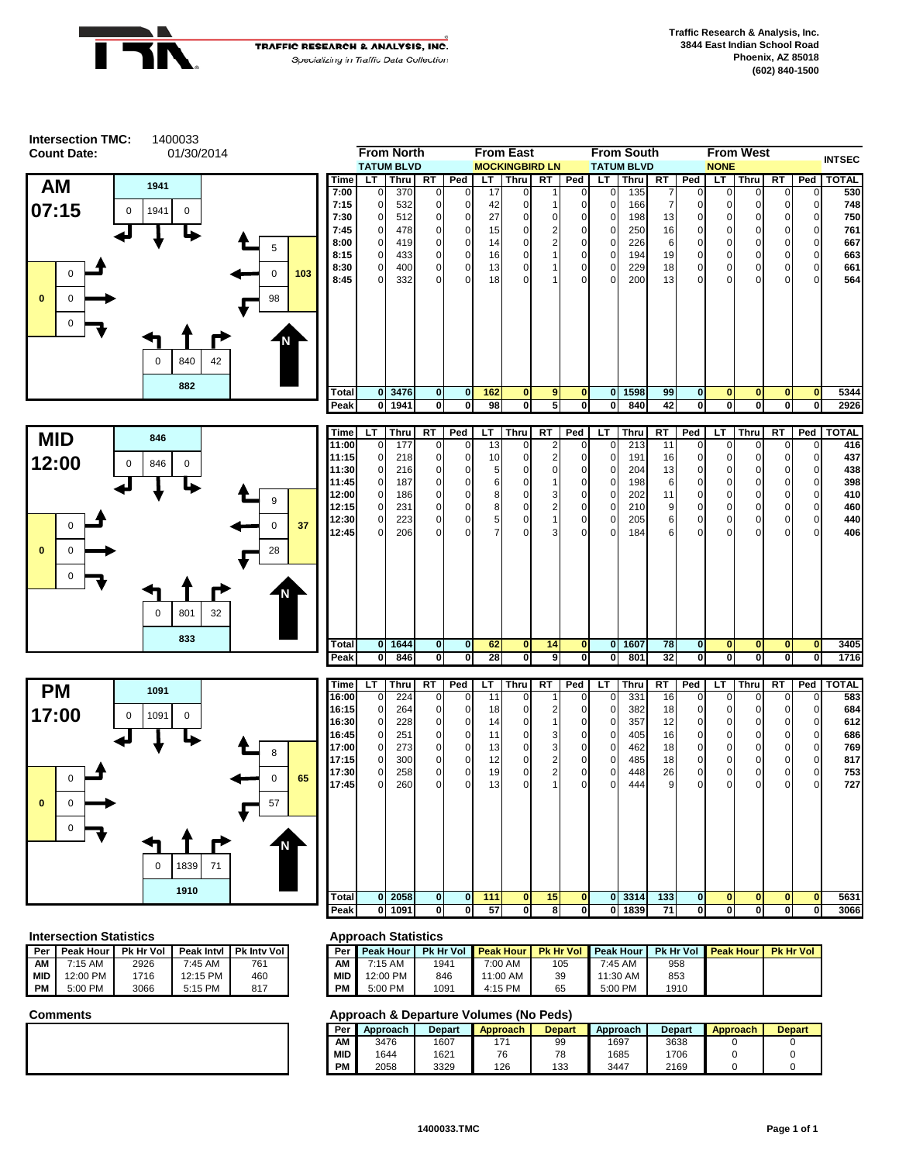



|               | <b>From North</b>            |                   |               |               | <b>From East</b> |                              |           |                          | <b>From South</b>    |                   |           |                            | <b>From West</b> |             |           | <b>INTSEC</b>               |              |
|---------------|------------------------------|-------------------|---------------|---------------|------------------|------------------------------|-----------|--------------------------|----------------------|-------------------|-----------|----------------------------|------------------|-------------|-----------|-----------------------------|--------------|
|               |                              | <b>TATUM BLVD</b> |               |               |                  | <b>MOCKINGBIRD LN</b>        |           |                          |                      | <b>TATUM BLVD</b> |           |                            | <b>NONE</b>      |             |           |                             |              |
| Time          | LT.                          | <b>Thru</b>       | <b>RT</b>     | Ped           | LT.              | <b>Thru</b>                  | <b>RT</b> | Ped                      | LT                   | Thru              | <b>RT</b> | Ped                        | LT               | <b>Thru</b> | <b>RT</b> | Ped                         | <b>TOTAL</b> |
| 7:00          | $\mathbf{0}$                 | 370               | 0             | 0             | 17               | $\Omega$                     |           | $\Omega$                 | $\Omega$             | 135               | 7         | $\Omega$                   | $\Omega$         | 0           | 0         | $\mathbf 0$                 | 530          |
| 7:15          | $\Omega$                     | 532               | 0             | 0             | 42               | 0                            |           | $\Omega$                 | 0                    | 166               |           | 0                          | 0                | 0           | 0         | $\overline{0}$              | 748          |
| 7:30          | $\Omega$                     | 512               | 0             | 0             | 27               | $\Omega$                     | 0         | $\Omega$                 | $\Omega$             | 198               | 13        | 0                          | $\Omega$         | 0           | 0         | 0                           | 750          |
| 7:45          | $\Omega$                     | 478               | 0             | 0             | 15               | $\Omega$                     | 2         | $\Omega$                 | 0                    | 250               | 16        | $\mathbf 0$                | $\Omega$         | 0           | $\Omega$  | $\overline{0}$              | 761          |
| 8:00          | $\Omega$                     | 419               | 0             | 0             | 14               | 0                            |           | $\Omega$                 | $\Omega$             | 226               | 6         | $\mathbf 0$                | $\Omega$         | 0           | 0         | 0                           | 667          |
| 8:15          | $\mathbf 0$                  | 433               | 0             | 0             | 16 <sup>1</sup>  | $\Omega$                     |           | $\mathbf 0$              | 0                    | 194               | 19        | $\mathbf 0$                | $\Omega$         | 0           | $\Omega$  | $\overline{0}$              | 663          |
| 8:30          | $\mathbf{0}$                 | 400               | 0             | 0             | 13               | $\Omega$                     |           | $\Omega$                 | 0                    | 229               | 18        | $\mathbf 0$                | $\Omega$         | 0           | 0         | $\overline{0}$              | 661          |
| 8:45          | $\Omega$                     | 332               | $\Omega$      | $\Omega$      | 18               | $\Omega$                     |           | $\Omega$                 | $\Omega$             | 200               | 13        | $\Omega$                   | $\Omega$         | 0           | 0         | $\overline{0}$              | 564          |
|               |                              |                   |               |               |                  |                              |           |                          |                      |                   |           |                            |                  |             |           |                             |              |
| Total<br>Peak | $\mathbf{0}$<br>$\mathbf{0}$ | 3476<br>1941      | $\bf{0}$<br>0 | $\bf{0}$<br>0 | 162<br>98        | $\mathbf{0}$<br>$\mathbf{0}$ | 9<br>5    | $\bf{0}$<br>$\mathbf{0}$ | $\bf{0}$<br>$\bf{0}$ | 1598<br>840       | 99<br>42  | $\mathbf 0$<br>$\mathbf 0$ | $\bf{0}$<br>0    | 0<br>0      | 0<br>0    | $\mathbf 0$<br><sub>0</sub> | 5344<br>2926 |







| Time  | LТ           | <b>Thru</b> | RT           | Ped            | LT              | Thru         | RT | Ped          | LT             | Thru   | RT  | Ped            | LT           | Thru         | RT          | Ped            | <b>TOTAL</b> |
|-------|--------------|-------------|--------------|----------------|-----------------|--------------|----|--------------|----------------|--------|-----|----------------|--------------|--------------|-------------|----------------|--------------|
| 16:00 | $\mathbf{0}$ | 224         | 0            | $\mathbf{0}$   | 11              | $\Omega$     |    | $\mathbf 0$  | $\overline{0}$ | 331    | 16  | $\overline{0}$ | 0            | $\mathbf 0$  | $\mathbf 0$ | 0              | 583          |
| 16:15 | $\mathbf 0$  | 264         | 0            | $\mathbf 0$    | 18              | $\Omega$     |    | 0            | $\mathbf{0}$   | 382    | 18  | $\overline{0}$ | 0            | $\mathbf{0}$ | 0           | 0              | 684          |
| 16:30 | $\mathbf 0$  | 228         | 0            | $\mathbf{0}$   | 14              | 0            |    | $\mathbf 0$  | $\mathbf 0$    | 357    | 12  | $\overline{0}$ | $\mathbf 0$  | $\mathbf 0$  | $\Omega$    | $\Omega$       | 612          |
| 16:45 | $\mathbf 0$  | 251         | $\Omega$     | $\overline{0}$ | 11              | 0            | 3  | $\mathbf 0$  | $\mathbf{0}$   | 405    | 16  | $\mathbf 0$    | 0            | $\mathbf 0$  | $\Omega$    | $\Omega$       | 686          |
| 17:00 | $\mathbf{0}$ | 273         | $\Omega$     | $\mathbf{0}$   | 13 <sub>l</sub> | $\Omega$     | 3  | $\mathbf 0$  | $\overline{0}$ | 462    | 18  | $\overline{0}$ | 0            | $\mathbf 0$  | 0           | $\overline{0}$ | 769          |
| 17:15 | $\mathbf{0}$ | 300         | 0            | $\mathbf 0$    | 12              | $\Omega$     | 2  | 0            | $\mathbf 0$    | 485    | 18  | $\overline{0}$ | $\mathbf 0$  | $\mathbf 0$  | 0           | 0              | 817          |
| 17:30 | $\mathbf 0$  | 258         | $\Omega$     | $\mathbf{0}$   | 19              | $\Omega$     | 2  | $\mathbf 0$  | $\overline{0}$ | 448    | 26  | $\overline{0}$ | 0            | $\mathbf 0$  | 0           | $\overline{0}$ | 753          |
| 17:45 | $\Omega$     | 260         | <sup>0</sup> | $\Omega$       | 13              | O            |    | $\Omega$     | $\Omega$       | 444    | 9   | $\overline{0}$ | $\Omega$     | $\Omega$     | $\Omega$    | $\Omega$       | 727          |
|       |              |             |              |                |                 |              |    |              |                |        |     |                |              |              |             |                |              |
|       |              |             |              |                |                 |              |    |              |                |        |     |                |              |              |             |                |              |
|       |              |             |              |                |                 |              |    |              |                |        |     |                |              |              |             |                |              |
|       |              |             |              |                |                 |              |    |              |                |        |     |                |              |              |             |                |              |
|       |              |             |              |                |                 |              |    |              |                |        |     |                |              |              |             |                |              |
| Total | $\mathbf{0}$ | 2058        | $\mathbf{0}$ | $\mathbf{0}$   | 111             | $\mathbf{0}$ | 15 | $\mathbf{0}$ |                | 0 3314 | 133 | $\mathbf{0}$   | $\mathbf{0}$ | $\mathbf{0}$ | 0           | $\bf{0}$       | 5631         |
| Peak  | $\mathbf{0}$ | 1091        | 0            | 0              | 57              | 0            | 8  | $\mathbf{0}$ | $\mathbf{0}$   | 1839   | 71  | 0              | 0            | 0            | 0           | 0              | 3066         |
|       |              |             |              |                |                 |              |    |              |                |        |     |                |              |              |             |                |              |

### **Intersection Statistics Approach Statistics**

| Per       | Peak Hour | <b>Pk Hr Vol</b> | Peak Intyl | <b>Pk Inty Voll</b> | Per        |
|-----------|-----------|------------------|------------|---------------------|------------|
| ΑМ        | $7:15$ AM | 2926             | $7:45$ AM  | 761                 | ΑМ         |
| i mid     | 12:00 PM  | 1716             | 12:15 PM   | 460                 | <b>MID</b> |
| <b>PM</b> | 5:00 PM   | 3066             | 5:15 PM    | 817                 | PМ         |

| 'eak Intvl | <b>Pk Inty Voll</b> | Per I      | <b>Peak Hour</b> |      | <b>Pk Hr Vol Peak Hour</b> | <b>Pk Hr Vol</b> | <b>Peak Hour</b> | <b>Pk Hr Vol</b> | <b>Peak Hour</b> | <b>Pk Hr Vol</b> |
|------------|---------------------|------------|------------------|------|----------------------------|------------------|------------------|------------------|------------------|------------------|
| 7:45 AM    | 761                 | AM         | 7:15 AM          | 1941 | 7:00 AM                    | 105              | 7:45 AM          | 958              |                  |                  |
| 12:15 PM   | 460                 | <b>MID</b> | 12:00 PM         | 846  | 1:00 AM                    | 39               | 11:30 AM         | 853              |                  |                  |
| 5:15 PM    | 817                 | PM         | 5:00 PM          | 1091 | $4:15$ PM                  | 65               | 5:00 PM          | 1910             |                  |                  |

| Per        | Approach | Depart | <b>Approach</b> | <b>Depart</b> | Approach | <b>Depart</b> | Approach | <b>Depart</b> |
|------------|----------|--------|-----------------|---------------|----------|---------------|----------|---------------|
| AΜ         | 3476     | 1607   |                 | 99            | 1697     | 3638          |          |               |
| <b>MID</b> | 1644     | 1621   | 76              | 70            | 1685     | 1706          |          |               |
| PM         | 2058     | 3329   | 126             | 133           | 3447     | 2169          |          |               |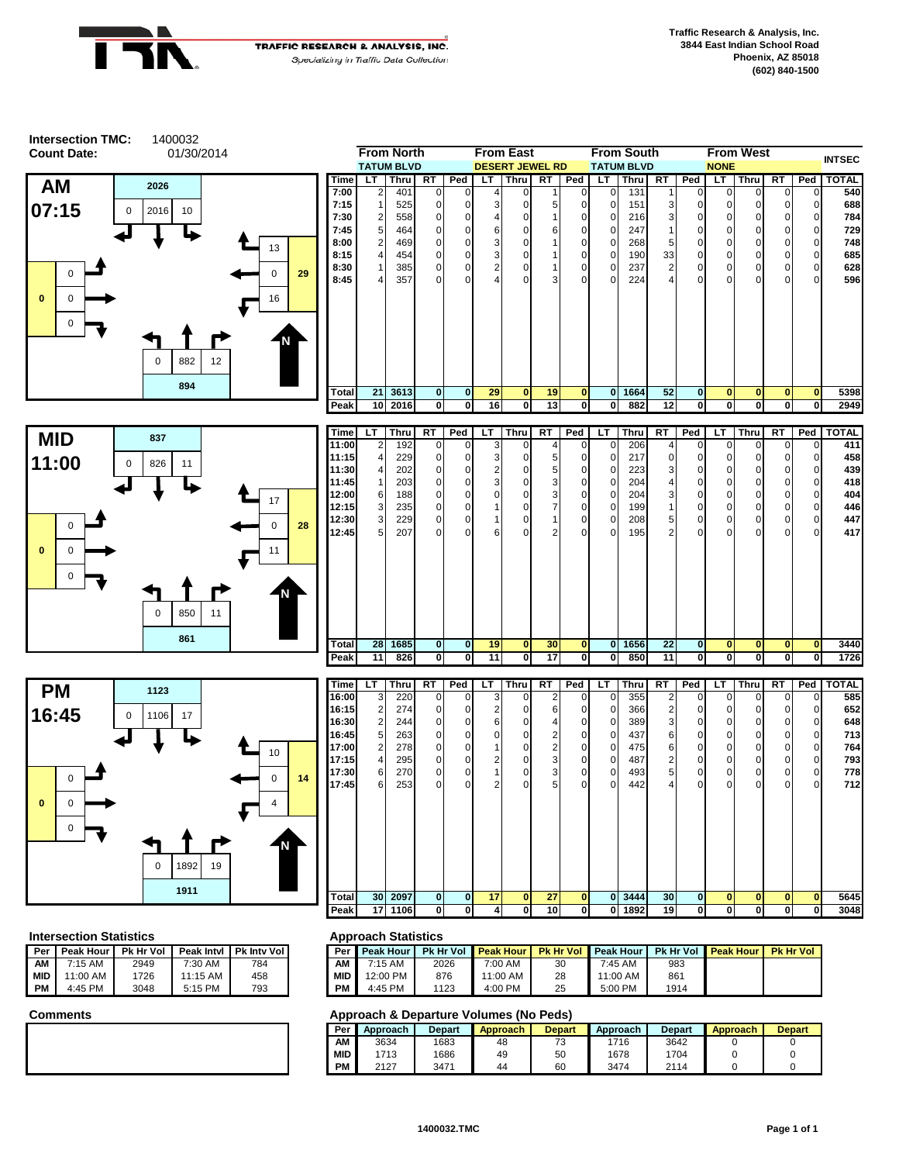

**Intersection TMC:**

**TRAFFIC RESEARCH & ANALYSIS, INC.** Specializing in Traffic Data Collection



1400032

| From North |                |                   |                |             |     | rrom East<br>From South |           |          |          |                   | <b>From west</b> |                |             |          |          | <b>INTSEC</b>  |              |
|------------|----------------|-------------------|----------------|-------------|-----|-------------------------|-----------|----------|----------|-------------------|------------------|----------------|-------------|----------|----------|----------------|--------------|
|            |                | <b>TATUM BLVD</b> |                |             |     | <b>DESERT JEWEL RD</b>  |           |          |          | <b>TATUM BLVD</b> |                  |                | <b>NONE</b> |          |          |                |              |
| Time       | LT.            | Thru              | <b>RT</b>      | Ped         | LT. | Thru                    | <b>RT</b> | Ped      | LT       | Thru              | <b>RT</b>        | Ped            | LT          | Thru     | RT       | Ped            | <b>TOTAL</b> |
| 7:00       | 2              | 401               | $\overline{0}$ | $\mathbf 0$ | 4   | $\Omega$                |           | $\Omega$ | $\Omega$ | 131               |                  | $\Omega$       | $\Omega$    | $\Omega$ | $\Omega$ | $\Omega$       | 540          |
| 7:15       | 1              | 525               | $\Omega$       | 0           | 3   | O                       | 5         | $\Omega$ | $\Omega$ | 151               | 3                | 0              | 0           | 0        | 0        | 0              | 688          |
| 7:30       | 2              | 558               | $\Omega$       | $\Omega$    | 4   | 0                       |           | $\Omega$ | $\Omega$ | 216               | 3                | $\overline{0}$ | 0           | 0        | 0        | $\overline{0}$ | 784          |
| 7:45       | 5              | 464               | $\mathbf 0$    | 0           | 6   | 0                       | 6         | 0        | $\Omega$ | 247               |                  | 0              | 0           | 0        | 0        | $\overline{0}$ | 729          |
| 8:00       | 2              | 469               | $\Omega$       | 0           | 3   | O                       |           | $\Omega$ | 0        | 268               | 5                | $\overline{0}$ | 0           | 0        | 0        | $\overline{0}$ | 748          |
| 8:15       | $\overline{4}$ | 454               | $\mathbf 0$    | $\Omega$    | 3   | 0                       |           | 0        | $\Omega$ | 190               | 33               | $\overline{0}$ | 0           | 0        | 0        | $\overline{O}$ | 685          |
| 8:30       | 1              | 385               | $\mathbf{0}$   | 0           | 2   | 0                       |           | 0        | $\Omega$ | 237               | 2                | $\overline{0}$ | 0           | 0        | 0        | $\overline{0}$ | 628          |
| 8:45       | 4              | 357               | $\Omega$       | $\Omega$    | 4   | O                       | 3         | 0        | $\Omega$ | 224               | 4                | 0              | 0           | 0        | $\Omega$ | $\Omega$       | 596          |
|            |                |                   |                |             |     |                         |           |          |          |                   |                  |                |             |          |          |                |              |
| Total      | 21             | 3613              | $\mathbf{0}$   | $\bf{0}$    | 29  | $\bf{0}$                | 19        | $\bf{0}$ | $\bf{0}$ | 1664              | 52               | $\mathbf{0}$   | 0           | 0        | $\bf{0}$ | $\bf{0}$       | 5398         |
| Peak       | 10             | 2016              | $\mathbf{0}$   | $\bf{0}$    | 16  | 0                       | 13        | $\bf{0}$ | 0        | 882               | 12               | 0              | 0           | 0        | 0        | 0              | 2949         |





| <b>Time</b> | LТ             | Thru | RT             | Ped          | LT           | Thru        | RT | Ped         | LT             | Thru | RT          | Ped            | LТ          | Thru     | RT          | Ped            | <b>TOTAL</b> |
|-------------|----------------|------|----------------|--------------|--------------|-------------|----|-------------|----------------|------|-------------|----------------|-------------|----------|-------------|----------------|--------------|
| 11:00       | $\overline{2}$ | 192  | $\overline{0}$ | $\mathbf{0}$ | 3            | $\Omega$    | 4  | 0           | $\overline{0}$ | 206  | 4           | $\overline{0}$ | 0           | 0        | $\mathbf 0$ | $\overline{0}$ | 411          |
| 11:15       | $\overline{4}$ | 229  | $\mathbf{0}$   | $\mathbf{0}$ | 3            | $\mathbf 0$ | 5  | $\mathbf 0$ | $\mathbf{0}$   | 217  | $\mathbf 0$ | $\overline{0}$ | 0           | 0        | 0           | $\overline{0}$ | 458          |
| 11:30       | $\frac{4}{ }$  | 202  | $\overline{0}$ | $\mathbf{0}$ | 2            | 0           | 5  | 0           | $\mathbf{0}$   | 223  | 3           | $\overline{0}$ | 0           | 0        | 0           | $\overline{0}$ | 439          |
| 11:45       | 1              | 203  | $\mathbf{0}$   | $\mathbf{0}$ | $\mathbf{3}$ | $\mathbf 0$ | 3  | 0           | $\mathbf{0}$   | 204  | 4           | $\overline{0}$ | 0           | 0        | 0           | $\overline{0}$ | 418          |
| 12:00       | 6              | 188  | $\mathbf{0}$   | $\mathbf 0$  | $\Omega$     | $\mathbf 0$ | 3  | 0           | $\mathbf{0}$   | 204  | 3           | $\overline{0}$ | 0           | 0        | 0           | $\overline{0}$ | 404          |
| 12:15       | 3              | 235  | $\mathbf 0$    | $\mathbf 0$  |              | 0           | 7  | 0           | $\mathbf{0}$   | 199  |             | $\overline{0}$ | $\pmb{0}$   | 0        | 0           | $\overline{0}$ | 446          |
| 12:30       | 3              | 229  | $\mathbf 0$    | $\mathbf 0$  |              | 0           |    | 0           | $\mathbf{0}$   | 208  | 5           | $\overline{0}$ | $\pmb{0}$   | 0        | 0           | $\overline{0}$ | 447          |
| 12:45       | 5 <sub>l</sub> | 207  | $\Omega$       | $\Omega$     | 6            | 0           | 2  | 0           | $\Omega$       | 195  | 2           | $\overline{0}$ | $\mathbf 0$ | 0        | $\mathbf 0$ | $\overline{0}$ | 417          |
|             |                |      |                |              |              |             |    |             |                |      |             |                |             |          |             |                |              |
| Total       | 28             | 1685 | $\mathbf{0}$   | $\mathbf{0}$ | 19           | $\bf{0}$    | 30 | $\bf{0}$    | $\mathbf{0}$   | 1656 | 22          | $\mathbf{0}$   | $\bf{0}$    | $\bf{0}$ | $\bf{0}$    | $\bf{0}$       | 3440         |
| Peak        | 11             | 826  | 0              | 0            | 11           | 0           | 17 | 0           | $\mathbf{0}$   | 850  | 11          | <sub>0</sub>   | 0           | 0        | 0           | $\mathbf 0$    | 1726         |

| Time        | LТ              | <b>Thru</b> | RT           | Ped          | LT       | Thru'        | RT | Ped          | LT       | Thru | RT             | Ped            | LT           | Thru         | RT       | Ped            | <b>TOTAL</b> |
|-------------|-----------------|-------------|--------------|--------------|----------|--------------|----|--------------|----------|------|----------------|----------------|--------------|--------------|----------|----------------|--------------|
| 16:00       | 3               | 220         | 0            | $\Omega$     | 3        | $\Omega$     | 2  | 0            | 0        | 355  | 2              | $\overline{0}$ | 0            | $\mathbf{0}$ | 0        | 0              | 585          |
| 16:15       | $\overline{2}$  | 274         | 0            | $\mathbf{0}$ | 2        | $\Omega$     | 6  | 0            | 0        | 366  | $\overline{2}$ | $\overline{0}$ | 0            | $\mathbf{0}$ | 0        | $\overline{0}$ | 652          |
| 16:30       | $\overline{2}$  | 244         | 0            | $\mathbf{0}$ | 6        | $\Omega$     | 4  | 0            | 0        | 389  | 3              | $\overline{0}$ | 0            | 0            | 0        | $\overline{0}$ | 648          |
| 16:45       | $5\overline{)}$ | 263         | 0            | 0            | $\Omega$ | $\Omega$     | 2  | 0            | 0        | 437  | 6              | $\mathbf 0$    | $\mathbf 0$  | 0            | 0        | $\mathbf 0$    | 713          |
| 17:00       | $\overline{2}$  | 278         | 0            | $\Omega$     |          | $\Omega$     | 2  | $\mathbf 0$  | 0        | 475  | 6              | $\overline{0}$ | 0            | 0            | 0        | $\mathbf 0$    | 764          |
| 17:15       | $\overline{4}$  | 295         | 0            | $\Omega$     | 2        | $\Omega$     | 3  | 0            | 0        | 487  | 2              | $\overline{0}$ | 0            | $\mathbf{0}$ | 0        | $\mathbf 0$    | 793          |
| 17:30       | 6               | 270         | 0            | $\Omega$     |          | $\Omega$     | 3  | $\mathbf 0$  | 0        | 493  | 5              | $\overline{0}$ | $\mathbf 0$  | $\mathbf 0$  | 0        | $\mathbf 0$    | 778          |
| 17:45       | 6               | 253         | $\Omega$     | $\Omega$     | 2        | $\Omega$     | 5  | 0            | O        | 442  | 4              | $\overline{0}$ | $\mathbf 0$  | 0            | 0        | $\mathbf 0$    | 712          |
|             |                 |             |              |              |          |              |    |              |          |      |                |                |              |              |          |                |              |
| Total       | 30 <sup>°</sup> | 2097        | $\mathbf{0}$ | $\mathbf{0}$ | 17       | $\mathbf{0}$ | 27 | $\bf{0}$     | $\bf{0}$ | 3444 | 30             | $\mathbf{0}$   | $\mathbf{0}$ | $\mathbf{0}$ | $\bf{0}$ | $\bf{0}$       | 5645         |
| <b>Peak</b> | 17 <sup>1</sup> | 1106        | 0            | 0            | 4        | 0            | 10 | $\mathbf{0}$ | 0        | 1892 | 19             | $\mathbf{0}$   | 0            | $\mathbf{0}$ | 0        | 0              | 3048         |

### **Intersection Statistics Approach Statistics**

| Per       | Peak Hour | <b>Pk Hr Vol</b> | Peak Intyl | <b>Pk Inty Voll</b> | Per        |
|-----------|-----------|------------------|------------|---------------------|------------|
| ΑМ        | $7:15$ AM | 2949             | $7:30$ AM  | 784                 | ΑМ         |
| l MID     | 11:00 AM  | 1726             | $11:15$ AM | 458                 | <b>MID</b> |
| <b>PM</b> | 4:45 PM   | 3048             | 5:15 PM    | 793                 | PМ         |

| 'eak Intvl | <b>Pk Inty Voll</b> | Per        | <b>Peak Hour</b> |      | <b>Pk Hr Vol Peak Hour</b> | <b>Pk Hr Vol I</b> | <b>Peak Hour</b> | <b>Pk Hr Vol</b> | <b>Peak Hour</b> | <b>Pk Hr Vol</b> |
|------------|---------------------|------------|------------------|------|----------------------------|--------------------|------------------|------------------|------------------|------------------|
| 7:30 AM    | 784                 | AM         | 7:15 AM          | 2026 | 7:00 AM                    | 30                 | 7:45 AM          | 983              |                  |                  |
| 11:15 AM   | 458                 | <b>MID</b> | 12:00 PM         | 876  | 1:00 AM                    | 28                 | 11:00 AM         | 861              |                  |                  |
| 5:15 PM    | 793                 | PМ         | 4:45 PM          | 1123 | 4:00 PM                    | 25                 | 5:00 PM          | 1914             |                  |                  |

| Per        | Approach | Depart | <b>Approach</b> | Depart | Approach | <b>Depart</b> | Approach | <b>Depart</b> |
|------------|----------|--------|-----------------|--------|----------|---------------|----------|---------------|
| ΑМ         | 3634     | 1683   | 48              | ັ      | 1716     | 3642          |          |               |
| <b>MID</b> | 713      | 1686   | 49              | 50     | 1678     | 1704          |          |               |
| PM         | 2127     | 3471   | 44              | 60     | 3474     | 2114          |          |               |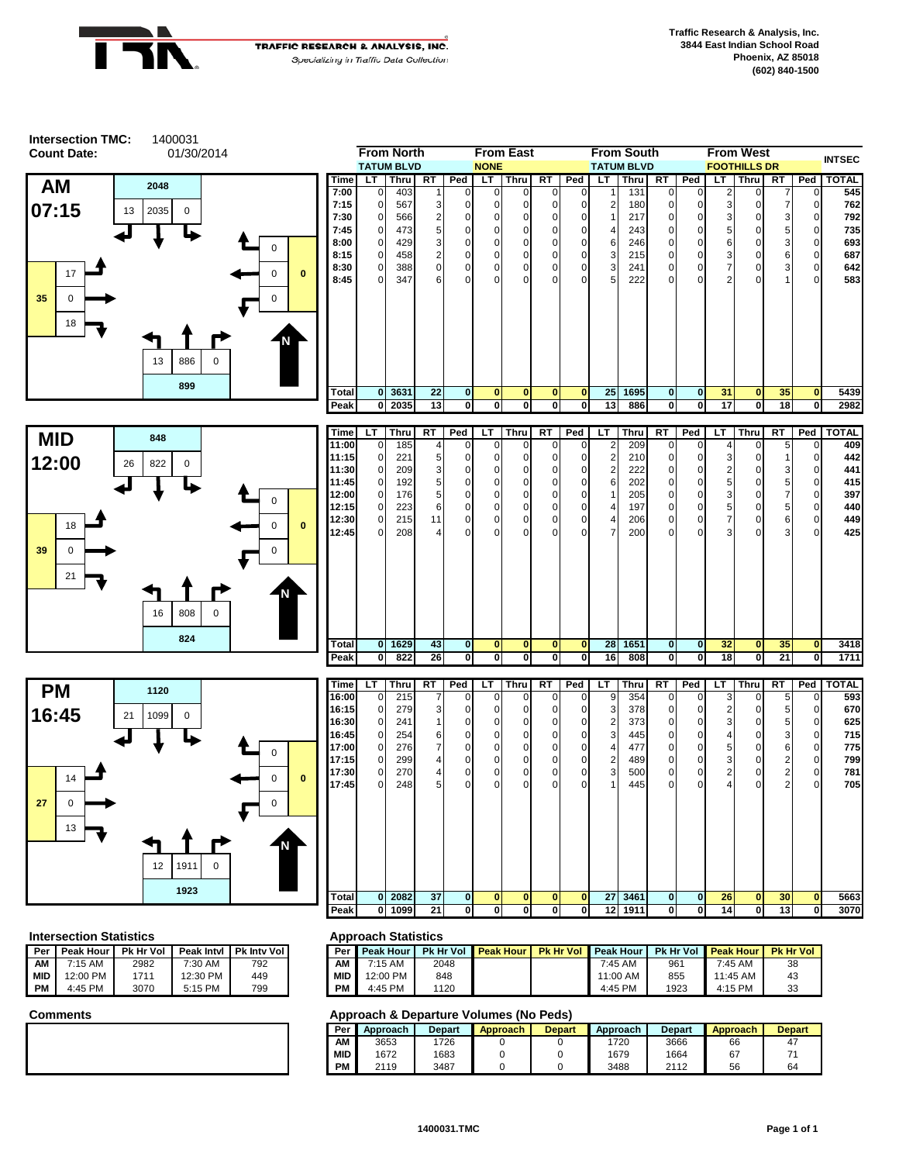







### **Intersection Statistics Approach Statistics**

|            |                  |           |            |                    | . .        |
|------------|------------------|-----------|------------|--------------------|------------|
| Per        | <b>Peak Hour</b> | Pk Hr Vol | Peak Intyl | <b>Pk Inty Vol</b> | Per        |
| ΑМ         | $7:15$ AM        | 2982      | 7:30 AM    | 792                | ΑМ         |
| <b>MID</b> | 12:00 PM         | 1711      | 12:30 PM   | 449                | <b>MID</b> |
| РM         | 4:45 PM          | 3070      | 5:15 PM    | 799                | PМ         |

| 16:00        | $\overline{0}$ | 215  | $\overline{7}$ | $\mathbf{0}$   | $\overline{0}$ | $\overline{0}$ | $\mathbf 0$ | $\overline{0}$ | 9          | 354         | $\Omega$  | $\overline{0}$ | 3  | $\mathbf{0}$ | 5 <sup>1</sup> | $\mathbf{0}$   | 593          |
|--------------|----------------|------|----------------|----------------|----------------|----------------|-------------|----------------|------------|-------------|-----------|----------------|----|--------------|----------------|----------------|--------------|
| Time         | LТ             | Thru | <b>RT</b>      | Ped            | LТ             | Thru           | <b>RT</b>   | Ped            | LT         | <b>Thru</b> | <b>RT</b> | Ped            | LT | Thru         | <b>RT</b>      | Ped            | <b>TOTAL</b> |
|              |                |      |                |                |                |                |             |                |            |             |           |                |    |              |                |                |              |
| Peak         | 0              | 822  | 26             | 0              | 0              | $\mathbf{0}$   | 0           | $\mathbf{0}$   | 16         | 808         | 0         | 0              | 18 | $\mathbf{0}$ | 21             | $\mathbf{0}$   | 1711         |
| <b>Total</b> | $\mathbf{0}$   | 1629 | 43             | $\mathbf{0}$   | $\mathbf{0}$   | $\mathbf{0}$   | $\bf{0}$    | $\mathbf{0}$   | 28         | 1651        | 0         | $\mathbf{0}$   | 32 | $\bf{0}$     | 35             | $\mathbf{0}$   | 3418         |
|              |                |      |                |                |                |                |             |                |            |             |           |                |    |              |                |                |              |
| 12:45        | $\mathbf{0}$   | 208  | 4              | $\overline{0}$ | $\Omega$       | $\Omega$       | $\Omega$    | $\Omega$       | 7          | 200         | 0         | 0              | 3  | $\mathbf 0$  | 3 <sup>1</sup> | $\overline{0}$ | 425          |
| 12:30        | $\mathbf 0$    | 215  | 11             | $\overline{0}$ | 0              | $\mathbf 0$    | 0           | $\mathbf 0$    | 4          | 206         | 0         | 0              | 7  | 0            | 6              | $\overline{0}$ | 449          |
| 12:15        | $\mathbf{0}$   | 223  | 6              | $\overline{0}$ | 0              | $\mathbf 0$    | 0           | $\mathbf{0}$   | 4          | 197         | 0         | 0              | 5  | 0            | 5              | $\overline{0}$ | 440          |
| 12:00        | $\mathbf 0$    | 176  | 5              | $\overline{0}$ | $\Omega$       | $\Omega$       | 0           | $\mathbf 0$    |            | 205         | 0         | 0              | 3  | 0            | 7              | $\overline{0}$ | 397          |
| 11:45        | $\mathbf 0$    | 192  | 5              | $\overline{0}$ | 0              | $\Omega$       | 0           | 0              | 6          | 202         | 0         | 0              | 5  | 0            | 5              | $\mathbf 0$    | 415          |
| .            | <b>v</b>       | ∠∪ອ  | ت              | υı             | <u>v</u>       | υı             | v           | υı             | $\epsilon$ | ZZZ         | υı        | νı             | ے  | U            | ্য             | v.             | ---          |

| <b>Time</b> | LТ             | Thru | RT | Ped            | LT           | Thru        | RT           | Ped         | LT              | <b>Thru</b> | RT          | Ped            | LT | <b>Thru</b>  | RT             | Ped            | <b>TOTAL</b> |
|-------------|----------------|------|----|----------------|--------------|-------------|--------------|-------------|-----------------|-------------|-------------|----------------|----|--------------|----------------|----------------|--------------|
| 16:00       | $\overline{0}$ | 215  | 7  | $\overline{0}$ | $\mathbf{0}$ | $\mathbf 0$ | $\mathbf 0$  | $\Omega$    | 9               | 354         | $\mathbf 0$ | 0              | 3  | 0            | 5              | $\overline{0}$ | 593          |
| 16:15       | $\overline{0}$ | 279  | 3  | 0              | $\Omega$     | $\mathbf 0$ | 0            | $\Omega$    | 3               | 378         | $\mathbf 0$ | 0              | 2  | 0            | 5              | $\overline{0}$ | 670          |
| 16:30       | $\overline{0}$ | 241  |    | 0              | 0            | $\mathbf 0$ | $\mathbf 0$  | $\mathbf 0$ | $\overline{2}$  | 373         | $\mathbf 0$ | 0              | 3  | 0            | 5              | $\overline{0}$ | 625          |
| 16:45       | $\overline{0}$ | 254  | 6  | $\mathbf 0$    | $\Omega$     | $\mathbf 0$ | $\Omega$     | $\Omega$    | 3 <sup>l</sup>  | 445         | $\mathbf 0$ | 0              | 4  | $\Omega$     | 3              | $\overline{0}$ | 715          |
| 17:00       | $\overline{0}$ | 276  | 7  | $\mathbf 0$    | $\Omega$     | $\mathbf 0$ | $\mathbf 0$  | $\mathbf 0$ | $\overline{4}$  | 477         | $\mathbf 0$ | 0              | 5  | $\mathbf{0}$ | 6              | $\overline{0}$ | 775          |
| 17:15       | $\overline{0}$ | 299  | 4  | $\mathbf 0$    | $\Omega$     | $\mathbf 0$ | $\mathbf 0$  | $\mathbf 0$ | $\overline{2}$  | 489         | $\mathbf 0$ | 0              | 3  | 0            | 2              | $\overline{0}$ | 799          |
| 17:30       | $\overline{0}$ | 270  | 4  | 0              | 0            | $\mathbf 0$ | $\mathbf 0$  | $\mathbf 0$ | 3 <sup>1</sup>  | 500         | 0           | $\overline{0}$ | 2  | 0            | $\overline{c}$ | $\overline{0}$ | 781          |
| 17:45       | $\overline{0}$ | 248  | 5  | $\Omega$       | 0            | $\Omega$    | $\Omega$     | $\Omega$    |                 | 445         | 0           | 0              | 4  | 0            | $\overline{2}$ | $\overline{0}$ | 705          |
|             |                |      |    |                |              |             |              |             |                 |             |             |                |    |              |                |                |              |
| Total       | $\mathbf{0}$   | 2082 | 37 | $\mathbf 0$    | $\bf{0}$     | $\bf{0}$    | $\bf{0}$     | $\bf{0}$    | 27              | 3461        | 0           | $\mathbf 0$    | 26 | $\bf{0}$     | 30             | $\bf{0}$       | 5663         |
| <b>Peak</b> | 0              | 1099 | 21 | 0              | 0            | $\mathbf 0$ | $\mathbf{0}$ | $\mathbf 0$ | 12 <sub>l</sub> | 1911        | 0           | $\bf o$        | 14 | 0            | 13             | $\mathbf{0}$   | 3070         |

| 'eak Intvl | <b>Pk Inty Voll</b> | Per | <b>Peak Hour</b> | <b>Pk Hr Vol</b> | <b>Peak Hour</b> | <b>Pk Hr Vol</b> | <b>Peak Hour</b> |      | <b>Pk Hr Vol Peak Hour</b> | <b>Pk Hr Vol</b> |
|------------|---------------------|-----|------------------|------------------|------------------|------------------|------------------|------|----------------------------|------------------|
| 7:30 AM    | 792                 | ΑМ  | 7:15 AM          | 2048             |                  |                  | $7:45$ AM        | 961  | 7:45 AM                    | 38               |
| 12:30 PM   | 449                 | MID | 12:00 PM         | 848              |                  |                  | 11:00 AM         | 855  | 11:45 AM                   | 43               |
| 5:15 PM    | 799                 | PM  | 4:45 PM          | 1120             |                  |                  | 4:45 PM          | 1923 | 4:15 PM                    | 33               |

| Per        | Approach | <b>Depart</b> | <b>Approach</b> | <b>Depart</b> | Approach | <b>Depart</b> | Approach | <b>Depart</b> |
|------------|----------|---------------|-----------------|---------------|----------|---------------|----------|---------------|
| AΜ         | 3653     | 1726          |                 |               | 1720     | 3666          | 66       | 47            |
| <b>MID</b> | 1672     | 1683          |                 |               | 1679     | 1664          | 67       | -             |
| PM         | 2119     | 3487          |                 |               | 3488     | 2112          | 56       | 64            |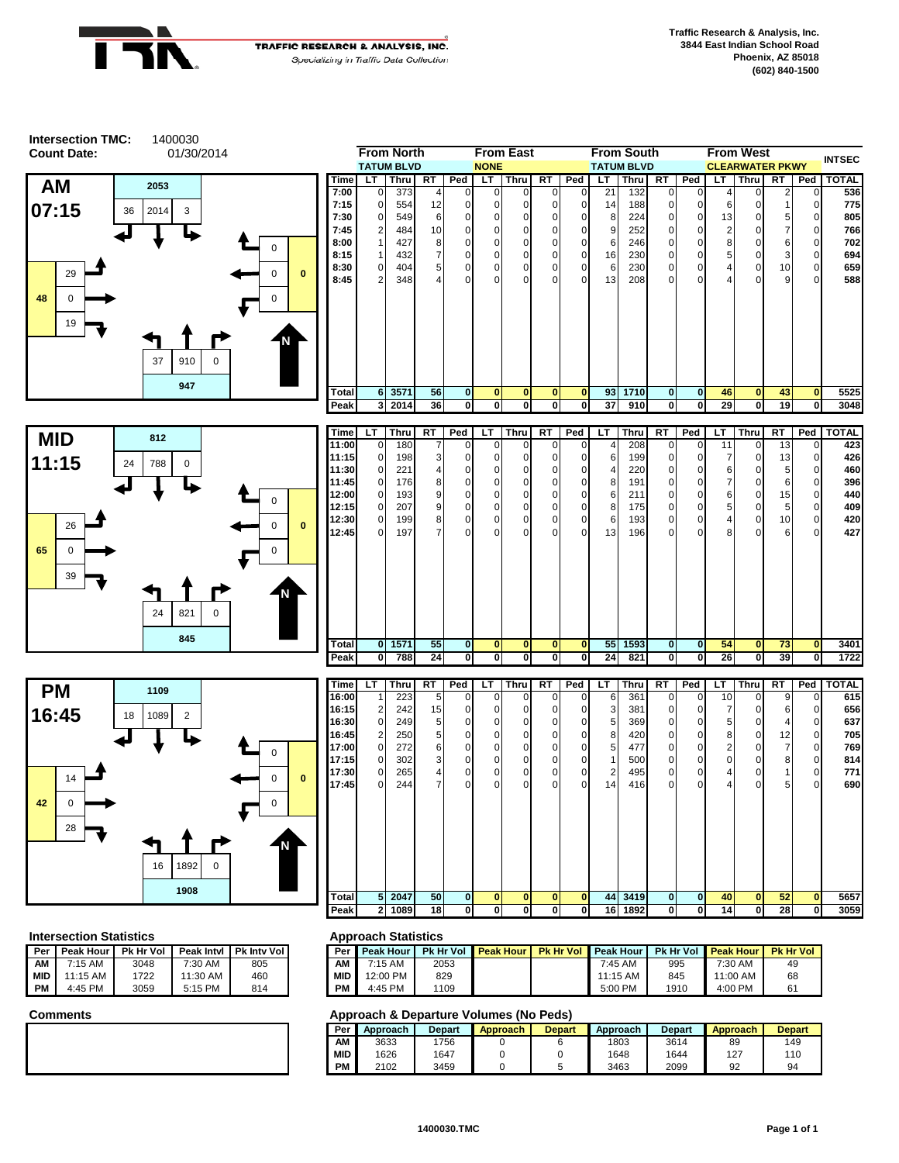

1400030

**Intersection TMC:**

**TRAFFIC RESEARCH & ANALYSIS, INC.** Specializing in Traffic Data Collection



| 01/30/2014 |          |          |              |              |                      | <b>From North</b><br><b>TATUM BLVD</b> |                 |                      | <b>NONE</b>  | <b>From East</b> |           |                      |          | <b>From South</b><br><b>TATUM BLVD</b> |                      |     |        | <b>From West</b><br><b>CLEARWATER PKWY</b> |         |          | <b>INTSEC</b> |
|------------|----------|----------|--------------|--------------|----------------------|----------------------------------------|-----------------|----------------------|--------------|------------------|-----------|----------------------|----------|----------------------------------------|----------------------|-----|--------|--------------------------------------------|---------|----------|---------------|
| 3          |          |          |              | Time         | LT.                  | <b>Thru</b>                            | RT              | Ped                  | LT           | Thru             | <b>RT</b> | Ped                  | LT.      | Thru                                   | RT                   | Ped | LT.    | <b>Thru</b>                                | RT      | Ped      | <b>TOTAL</b>  |
|            |          |          |              | 7:00<br>7:15 | $\Omega$<br>$\Omega$ | 373<br>554                             | 12              |                      |              |                  |           | 0.                   | 21<br>14 | 132<br>188                             | $\Omega$             |     | 6      |                                            |         |          | 536<br>775    |
| 4 I<br>3   |          |          |              | 7:30         | $\Omega$             | 549                                    | 6               |                      |              |                  |           | $\Omega$             | 8        | 224                                    | $\Omega$             |     | 13     |                                            |         |          | 805           |
|            |          |          |              | 7:45         | $\overline{2}$       | 484                                    | 10              |                      |              |                  |           | $\Omega$             | 9        | 252                                    | $\Omega$             |     | 2      |                                            |         |          | 766           |
|            |          |          |              | 8:00<br>8:15 |                      | 427<br>432                             | 8               |                      |              |                  |           | $\Omega$<br>0        | 6<br>16  | 246<br>230                             | 0                    |     | 8<br>5 | $\Omega$                                   | 6<br>3  |          | 702<br>694    |
|            |          | $\Omega$ | $\mathbf{0}$ | 8:30<br>8:45 | $\Omega$             | 404                                    | 5<br>Δ          | $\Omega$<br>$\Omega$ |              |                  |           | $\Omega$<br>$\Omega$ | 6<br>13  | 230                                    | $\Omega$<br>$\Omega$ |     | 4<br>4 | $\Omega$<br>$\Omega$                       | 10<br>9 |          | 659           |
|            |          | $\Omega$ |              |              | $\overline{2}$       | 348                                    |                 |                      |              |                  |           |                      |          | 208                                    |                      |     |        |                                            |         |          | 588           |
|            |          |          |              |              |                      |                                        |                 |                      |              |                  |           |                      |          |                                        |                      |     |        |                                            |         |          |               |
| 910        | $\Omega$ |          |              |              |                      |                                        |                 |                      |              |                  |           |                      |          |                                        |                      |     |        |                                            |         |          |               |
| 947        |          |          |              | Total        | 6                    | 3571                                   | 56              | $\mathbf{0}$         | $\mathbf{0}$ | $\bf{0}$         | $\bf{0}$  | $\mathbf{0}$         | 93       | 1710                                   | $\mathbf{0}$         | 0   | 46     | $\mathbf{0}$                               | 43      | $\Omega$ | 5525          |
|            |          |          |              | Peak         |                      | 3 2014                                 | 36 <sup>1</sup> | ΟI                   |              | 0                | 0         | 01                   | 37       | 910                                    | 0                    |     | 29     | 0                                          | 19      |          | 3048          |





| Time  | LТ           | Thru | RT | Ped          | LТ           | <b>Thru</b> | RT       | Ped            | LT             | Thru | RT           | Ped            | LТ             | Thru        | <b>RT</b> | Ped         | <b>TOTAL</b> |
|-------|--------------|------|----|--------------|--------------|-------------|----------|----------------|----------------|------|--------------|----------------|----------------|-------------|-----------|-------------|--------------|
| 11:00 | $\mathbf{0}$ | 180  | 7  | $\Omega$     | $\Omega$     | 0           | 0        | $\mathbf{0}$   | $\overline{4}$ | 208  | $\mathbf{0}$ | $\overline{0}$ | 11             | $\mathbf 0$ | 13        | 0           | 423          |
| 11:15 | $\mathbf{0}$ | 198  | 3  | $\mathbf{0}$ | 0            | 0           | 0        | $\mathbf{0}$   | 6              | 199  | 0            | $\overline{0}$ | 7              | 0           | 13        | 0           | 426          |
| 11:30 | $\mathbf{0}$ | 221  | 4  | $\mathbf{0}$ | $\mathbf 0$  | 0           | 0        | 0              | $\overline{a}$ | 220  | $\mathbf 0$  | $\overline{0}$ | 6              | 0           | 5         | 0           | 460          |
| 11:45 | $\mathbf{0}$ | 176  | 8  | $\mathbf{0}$ | 0            | 0           | 0        | $\mathbf 0$    | 8              | 191  | 0            | $\overline{0}$ | 7              | 0           | 6         | 0           | 396          |
| 12:00 | $\mathbf 0$  | 193  | 9  | $\mathbf 0$  | 0            | 0           | 0        | $\mathbf 0$    | 6              | 211  | 0            | $\overline{0}$ | 6              | $\mathbf 0$ | 15        | 0           | 440          |
| 12:15 | $\mathbf 0$  | 207  | 9  | $\mathbf 0$  | 0            | 0           | 0        | $\mathbf 0$    | 8              | 175  | $\mathbf 0$  | $\overline{0}$ | 5              | 0           | 5         | 0           | 409          |
| 12:30 | $\mathbf 0$  | 199  | 8  | $\mathbf{0}$ | 0            | 0           | 0        | $\overline{0}$ | 6              | 193  | $\mathbf 0$  | $\overline{0}$ | $\overline{4}$ | $\mathbf 0$ | 10        | 0           | 420          |
| 12:45 | $\Omega$     | 197  |    | $\Omega$     | $\Omega$     | 0           | $\Omega$ | $\mathbf 0$    | 13             | 196  | 0            | $\overline{0}$ | 8              | $\mathbf 0$ | 6         | $\Omega$    | 427          |
|       |              |      |    |              |              |             |          |                |                |      |              |                |                |             |           |             |              |
| Total | $\mathbf{0}$ | 1571 | 55 | $\mathbf{0}$ | $\mathbf{0}$ | 0           | $\bf{0}$ | $\mathbf{0}$   | 55             | 1593 | $\mathbf{0}$ | οI             | 54             | $\bf{0}$    | 73        | $\bf{0}$    | 3401         |
| Peak  | $\mathbf 0$  | 788  | 24 | $\mathbf{0}$ | 0            | 0           | 0        | 0              | 24             | 821  | 0            | $\mathbf{0}$   | 26             | 0           | 39        | $\mathbf 0$ | 1722         |

| Time  | LТ             | Thru | RT | Ped          | LТ       | Thru         | RT       | Ped          | LT | Thru | RT          | Ped            | LT | Thru     | RT             | Ped            | <b>TOTAL</b> |
|-------|----------------|------|----|--------------|----------|--------------|----------|--------------|----|------|-------------|----------------|----|----------|----------------|----------------|--------------|
| 16:00 | 1              | 223  | 5  | $\mathbf 0$  | 0        | $\mathbf{0}$ | 0        | $\mathbf{0}$ | 6  | 361  | $\mathbf 0$ | $\mathbf{0}$   | 10 | 0        | 9              | $\mathbf 0$    | 615          |
| 16:15 | $\overline{2}$ | 242  | 15 | $\mathbf 0$  | 0        | 0            | 0        | $\mathbf 0$  | 3  | 381  | 0           | 0              | 7  | 0        | 6              | 0              | 656          |
| 16:30 | 0              | 249  | 5  | $\mathbf 0$  | 0        | $\Omega$     | 0        | $\mathbf{0}$ | 5  | 369  | 0           | $\overline{0}$ | 5  | 0        | 4              | $\overline{0}$ | 637          |
| 16:45 | $\overline{2}$ | 250  | 5  | 0            | 0        | 0            | 0        | $\mathbf{0}$ | 8  | 420  | $\mathbf 0$ | $\overline{0}$ | 8  | 0        | 12             | $\overline{0}$ | 705          |
| 17:00 | 0              | 272  | 6  | 0            | 0        | $\mathbf 0$  | 0        | $\mathbf{0}$ | 5  | 477  | $\mathbf 0$ | $\overline{0}$ | 2  | 0        | $\overline{7}$ | $\mathbf 0$    | 769          |
| 17:15 | $\mathbf 0$    | 302  | 3  | 0            | 0        | $\mathbf 0$  | 0        | $\mathbf 0$  |    | 500  | $\mathbf 0$ | $\overline{0}$ | 0  | 0        | 8              | $\mathbf 0$    | 814          |
| 17:30 | 0              | 265  | 4  | 0            | 0        | 0            | 0        | $\mathbf 0$  | 2  | 495  | 0           | $\overline{0}$ | 4  | 0        |                | $\overline{0}$ | 771          |
| 17:45 | $\mathbf 0$    | 244  | 7  | 0            | $\Omega$ | $\Omega$     | $\Omega$ | $\Omega$     | 14 | 416  | $\mathbf 0$ | $\Omega$       | 4  | 0        | 5              | $\overline{0}$ | 690          |
|       |                |      |    |              |          |              |          |              |    |      |             |                |    |          |                |                |              |
| Total | 5 <sub>1</sub> | 2047 | 50 | $\mathbf{0}$ | $\bf{0}$ | $\bf{0}$     | $\bf{0}$ | $\mathbf{0}$ | 44 | 3419 | $\mathbf 0$ | 0I             | 40 | $\bf{0}$ | 52             | $\bf{0}$       | 5657         |
| Peak  | $\mathbf{2}$   | 1089 | 18 | $\mathbf 0$  | 0        | 0            | 0        | 0            | 16 | 1892 | 0           | 0              | 14 | 0        | 28             | 0              | 3059         |

### **Intersection Statistics Approach Statistics**

| Per       | Peak Hour  | <b>Pk Hr Vol</b> | Peak Intyl | <b>Pk Inty Vol</b> | Per        |
|-----------|------------|------------------|------------|--------------------|------------|
| ΑМ        | 7:15 AM    | 3048             | $7:30$ AM  | 805                | ΑМ         |
| MID       | $11:15$ AM | 1722             | 11:30 AM   | 460                | <b>MID</b> |
| <b>PM</b> | 4:45 PM    | 3059             | 5:15 PM    | 814                | PМ         |

| 'eak Intvl | <b>Pk Inty Voll</b> | Per I | Peak Hour |      | <b>Pk Hr Vol Peak Hour</b> | <b>Pk Hr Vol</b> | <b>Peak Hour</b> |      | <b>Pk Hr Vol Peak Hour</b> | <b>Pk Hr Vol</b> |
|------------|---------------------|-------|-----------|------|----------------------------|------------------|------------------|------|----------------------------|------------------|
| 7:30 AM    | 805                 | ΑМ    | 7:15 AM   | 2053 |                            |                  | 7:45 AM          | 995  | 7:30 AM                    | 49               |
| 11:30 AM   | 460                 | MID   | 12:00 PM  | 829  |                            |                  | $11:15$ AM       | 845  | 11:00 AM                   | 68               |
| 5:15 PM    | 814                 | PM    | 4:45 PM   | 1109 |                            |                  | 5:00 PM          | 1910 | 4:00 PM                    |                  |

| Per        | Approach | <b>Depart</b> | Approach | <b>Depart</b> | Approach | <b>Depart</b> | Approach | <b>Depart</b> |
|------------|----------|---------------|----------|---------------|----------|---------------|----------|---------------|
| АΜ         | 3633     | 1756          |          |               | 1803     | 3614          | 89       | 149           |
| <b>MID</b> | 1626     | 1647          |          |               | 1648     | 1644          | 127      | 110           |
| PM         | 2102     | 3459          |          |               | 3463     | 2099          | 92       | 94            |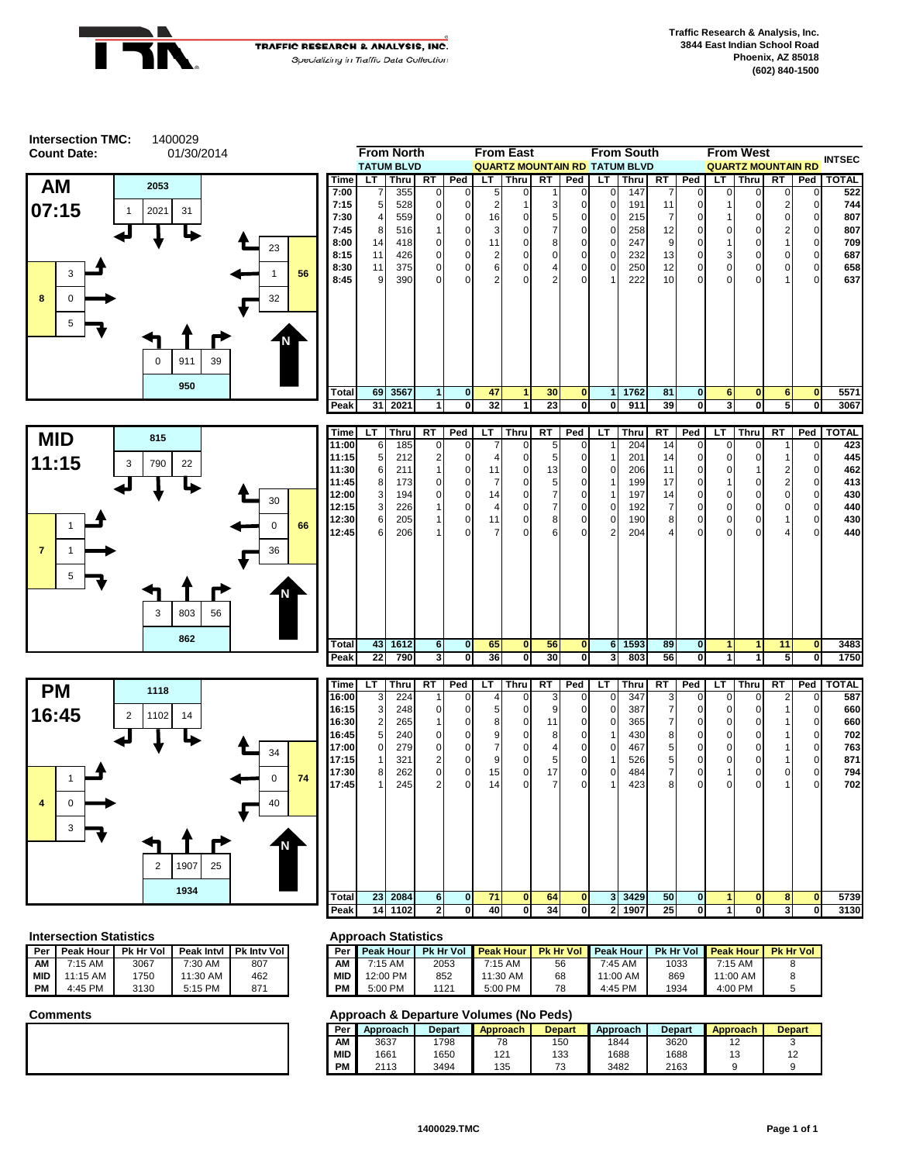



|       |    | <b>From North</b> |              |              |     | <b>From East</b>                     |                 |              |          | <b>From South</b> |           |              |          | <b>From West</b>          |           |                | <b>INTSEC</b> |
|-------|----|-------------------|--------------|--------------|-----|--------------------------------------|-----------------|--------------|----------|-------------------|-----------|--------------|----------|---------------------------|-----------|----------------|---------------|
|       |    | <b>TATUM BLVD</b> |              |              |     | <b>QUARTZ MOUNTAIN RD TATUM BLVD</b> |                 |              |          |                   |           |              |          | <b>QUARTZ MOUNTAIN RD</b> |           |                |               |
| Time  | LT | <b>Thru</b>       | <b>RT</b>    | Ped          | LT. | <b>Thru</b>                          | <b>RT</b>       | Ped          | LT       | Thru              | <b>RT</b> | Ped          | LT.      | <b>Thru</b>               | <b>RT</b> | Ped            | <b>TOTAL</b>  |
| 7:00  | 7  | 355               | $\Omega$     | $\Omega$     | 5   | U                                    |                 | $\Omega$     | $\Omega$ | 147               |           | $\Omega$     | O        | 0                         | 0         | 0              | 522           |
| 7:15  | 5  | 528               | <sup>0</sup> | 0            | 2   |                                      |                 | <sup>0</sup> | $\Omega$ | 191               | 11        | 0            |          | O                         |           | $\Omega$       | 744           |
| 7:30  | 4  | 559               | <sup>0</sup> | $\Omega$     | 16  |                                      | 5               | $\Omega$     | $\Omega$ | 215               |           | 0            |          | 0                         | $\Omega$  | $\mathbf 0$    | 807           |
| 7:45  | 8  | 516               |              | $\Omega$     | 3   |                                      |                 | $\Omega$     | $\Omega$ | 258               | 12        | 0            | 0        | 0                         | 2         | $\mathbf 0$    | 807           |
| 8:00  | 14 | 418               | 0            | $\mathbf 0$  | 11  | n                                    | 8               | $\mathbf 0$  | 0        | 247               | 9         | 0            |          | 0                         |           | $\mathbf 0$    | 709           |
| 8:15  | 11 | 426               | 0            | $\Omega$     | 2   | n                                    | U               | $\Omega$     | $\Omega$ | 232               | 13        | 0            | 3        | 0                         | 0         | $\mathbf 0$    | 687           |
| 8:30  | 11 | 375               | 0            | $\Omega$     | 6   |                                      |                 | $\mathbf 0$  | $\Omega$ | 250               | 12        | 0            | 0        | 0                         | 0         | $\overline{0}$ | 658           |
| 8:45  | 9  | 390               | $\Omega$     | <sup>0</sup> | 2   |                                      | 2               | $\Omega$     |          | 222               | 10        | $\Omega$     | $\Omega$ | O                         |           | $\Omega$       | 637           |
|       |    |                   |              |              |     |                                      |                 |              |          |                   |           |              |          |                           |           |                |               |
| Total | 69 | 3567              |              | $\bf{0}$     | 47  |                                      | 30 <sub>1</sub> | $\bf{0}$     |          | 1762              | 81        | $\mathbf 0$  | 6        | $\bf{0}$                  | 6         | $\mathbf{0}$   | 5571          |
| Peak  | 31 | 2021              |              | $\mathbf{0}$ | 32  |                                      | 23              | $\mathbf 0$  | 0        | 911               | 39        | $\mathbf{0}$ | 3        | 0                         | 5         | $\mathbf 0$    | 3067          |





| Time         | LT | Thru | RT             | Ped            | LT. | Thru         | RT             | Ped          | LT             | Thru | RT             | Ped            | LТ           | Thru         | RT             | Ped            | <b>TOTAL</b> |
|--------------|----|------|----------------|----------------|-----|--------------|----------------|--------------|----------------|------|----------------|----------------|--------------|--------------|----------------|----------------|--------------|
| 11:00        | 6  | 185  | $\mathbf 0$    | $\overline{0}$ | 7   | $\Omega$     | 5 <sub>5</sub> | $\mathbf 0$  | 1              | 204  | 14             | $\overline{0}$ | 0            | $\mathbf 0$  |                | 0              | 423          |
| 11:15        | 5  | 212  | 2              | $\overline{0}$ | 4   | $\Omega$     | 5              | 0            | 1              | 201  | 14             | $\overline{0}$ | 0            | $\mathbf 0$  |                | $\mathbf{0}$   | 445          |
| 11:30        | 6  | 211  |                | $\overline{0}$ | 11  | 0            | 13             | 0            | $\overline{0}$ | 206  | 11             | $\overline{0}$ | $\mathbf 0$  |              | 2              | $\overline{0}$ | 462          |
| 11:45        | 8  | 173  | 0              | $\overline{0}$ | 7   | 0            | 5              | 0            | 1              | 199  | 17             | $\overline{0}$ |              | 0            | $\overline{2}$ | $\overline{0}$ | 413          |
| 12:00        | 3  | 194  | $\Omega$       | $\overline{0}$ | 14  | 0            | 7              | $\mathbf 0$  | 1              | 197  | 14             | $\overline{0}$ | 0            | $\mathbf 0$  | $\mathbf 0$    | $\overline{0}$ | 430          |
| 12:15        | 3  | 226  |                | $\overline{0}$ | 4   | 0            | 7              | $\mathbf 0$  | $\overline{0}$ | 192  | 7              | $\overline{0}$ | $\mathbf{0}$ | $\mathbf 0$  | 0              | $\overline{0}$ | 440          |
| 12:30        | 6  | 205  |                | $\mathbf{0}$   | 11  | 0            | 8              | $\mathbf 0$  | $\overline{0}$ | 190  | 8              | $\overline{0}$ | $\mathbf 0$  | $\mathbf{0}$ |                | $\overline{0}$ | 430          |
| 12:45        | 6  | 206  |                | $\Omega$       | 7   | $\Omega$     | 6              | $\mathbf 0$  | 2 <sup>1</sup> | 204  | $\overline{4}$ | $\overline{0}$ | $\mathbf{0}$ | $\Omega$     | 4              | $\Omega$       | 440          |
|              |    |      |                |                |     |              |                |              |                |      |                |                |              |              |                |                |              |
| <b>Total</b> | 43 | 1612 | 6              | $\mathbf{0}$   | 65  | $\mathbf{0}$ | 56             | $\mathbf{0}$ | 6              | 1593 | 89             | $\mathbf{0}$   | 1            | 1            | 11             | $\mathbf{0}$   | 3483         |
| Peak         | 22 | 790  | 3 <sub>l</sub> | $\mathbf{0}$   | 36  | 0            | 30             | $\mathbf{0}$ | 3 <sup>l</sup> | 803  | 56             | $\mathbf{0}$   | 1            |              | 5              | 0              | 1750         |

| Time  | LТ              | Thru | <b>RT</b>      | Ped            | LT | <b>Thru</b>  | RT             | Ped          | LT           | Thru | RT | Ped            | LT          | <b>Thru</b>  | <b>RT</b> | Ped            | <b>TOTAL</b> |
|-------|-----------------|------|----------------|----------------|----|--------------|----------------|--------------|--------------|------|----|----------------|-------------|--------------|-----------|----------------|--------------|
| 16:00 | 3               | 224  | 1              | $\Omega$       | 4  | $\Omega$     | 3              | $\mathbf 0$  | $\Omega$     | 347  | 3  | $\overline{0}$ | $\Omega$    | $\Omega$     | 2         | 0              | 587          |
| 16:15 | 3               | 248  | 0              | $\Omega$       | 5  | $\Omega$     | 9              | 0            | $\Omega$     | 387  | 7  | $\overline{0}$ | 0           | $\mathbf{0}$ | 1         | 0              | 660          |
| 16:30 | $\overline{2}$  | 265  |                | 0              | 8  | $\mathbf 0$  | 11             | 0            | 0            | 365  | 7  | $\overline{0}$ | $\mathbf 0$ | $\mathbf{0}$ |           | $\overline{0}$ | 660          |
| 16:45 | $5\overline{)}$ | 240  | 0              | $\overline{0}$ | 9  | $\Omega$     | 8              | 0            |              | 430  | 8  | $\mathbf 0$    | $\mathbf 0$ | 0            |           | $\mathbf 0$    | 702          |
| 17:00 | $\mathbf{0}$    | 279  | 0              | $\overline{0}$ | 7  | $\Omega$     | $\overline{4}$ | $\mathbf 0$  | 0            | 467  | 5  | $\mathbf 0$    | 0           | 0            |           | $\overline{0}$ | 763          |
| 17:15 | 1               | 321  | 2              | $\overline{0}$ | 9  | $\Omega$     | 5              | $\mathbf 0$  |              | 526  | 5  | $\mathbf 0$    | 0           | $\mathbf{0}$ | 1         | $\overline{0}$ | 871          |
| 17:30 | 8               | 262  | $\Omega$       | $\Omega$       | 15 | 0            | 17             | 0            | 0            | 484  | 7  | $\overline{0}$ |             | 0            | 0         | $\mathbf 0$    | 794          |
| 17:45 | 1               | 245  | $\overline{2}$ | $\Omega$       | 14 | $\Omega$     | $\overline{7}$ | $\mathbf 0$  |              | 423  | 8  | $\overline{0}$ | $\mathbf 0$ | $\mathbf{0}$ | 1         | $\overline{0}$ | 702          |
|       |                 |      |                |                |    |              |                |              |              |      |    |                |             |              |           |                |              |
| Total | 23 <sup>1</sup> | 2084 | 6 <sup>1</sup> | $\mathbf{0}$   | 71 | $\mathbf{0}$ | 64             | $\bf{0}$     | 3            | 3429 | 50 | $\mathbf{0}$   | 1           | $\mathbf{0}$ | 8         | $\mathbf{0}$   | 5739         |
| Peak  | 14              | 1102 | $\mathbf{2}$   | $\mathbf{0}$   | 40 | $\mathbf 0$  | 34             | $\mathbf{0}$ | $\mathbf{2}$ | 1907 | 25 | $\mathbf{0}$   |             | $\mathbf{0}$ | 3         | $\mathbf{0}$   | 3130         |

### **Intersection Statistics Approach Statistics**

| Per       | Peak Hour  | <b>Pk Hr Vol</b> | Peak Intyl | <b>Pk Inty Voll</b> | Per        |
|-----------|------------|------------------|------------|---------------------|------------|
| ΑМ        | $7:15$ AM  | 3067             | $7:30$ AM  | 807                 | ΑМ         |
| l MID     | $11:15$ AM | 1750             | $11:30$ AM | 462                 | <b>MID</b> |
| <b>PM</b> | 4:45 PM    | 3130             | 5:15 PM    | 871                 | PМ         |

| 'eak Intvl | <b>Pk Inty Voll</b> | Per        | <b>Peak Hour</b> | <b>Pk Hr Vol</b> | <b>Peak Hour</b> | <b>Pk Hr Vol</b> | <b>Peak Hour</b> | <b>Pk Hr Vol</b> | <b>Peak Hour</b> | <b>Pk Hr Vol</b> |
|------------|---------------------|------------|------------------|------------------|------------------|------------------|------------------|------------------|------------------|------------------|
| 7:30 AM    | 807                 | AM         | 7:15 AM          | 2053             | 7:15 AM          | 56               | 7:45 AM          | 1033             | 7:15 AM          |                  |
| 1:30 AM    | 462                 | <b>MID</b> | 12:00 PM         | 852              | 1:30 AM          | 68               | 11:00 AM         | 869              | 11:00 AM         |                  |
| 5:15 PM    | 871                 | PМ         | 5:00 PM          | 1121             | 5:00 PM          | 78               | 4:45 PM          | 1934             | 4:00 PM          |                  |

| Per | Approach | Depart | <b>Approach</b> | <b>Depart</b>                 | Approach | <b>Depart</b> | Approach | <b>Depart</b> |
|-----|----------|--------|-----------------|-------------------------------|----------|---------------|----------|---------------|
| AM  | 3637     | 1798   | 78              | 150                           | 1844     | 3620          | ∼        |               |
| MID | 1661     | 1650   | 121             | 133                           | 1688     | 1688          | ں ا      | 12            |
| PM  | 2113     | 3494   | 135             | $\overline{\phantom{a}}$<br>ັ | 3482     | 2163          |          |               |